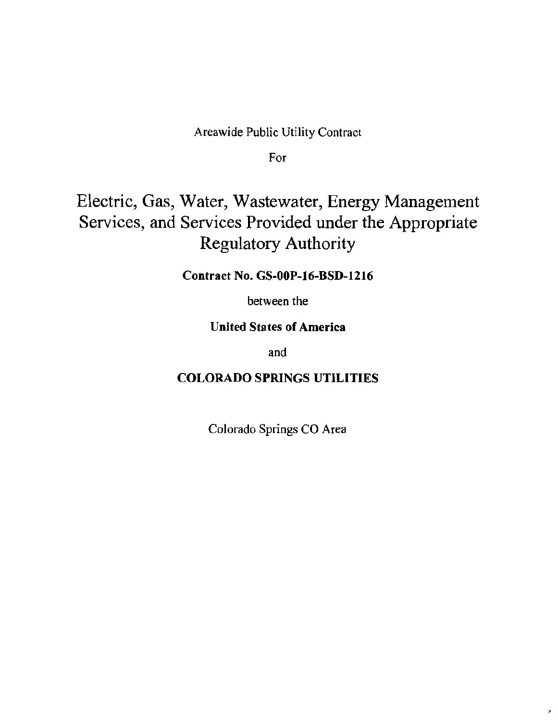## Areawide Public Utility Contract

For

## Electric, Gas, Water, Wastewater, Energy Management Services, and Services Provided under the Appropriate Regulatory Authority

## Contract No. GS-OOP-16-BSD-1216

between the

## United States of America

and

## COLORADO SPRINGS UTILITIES

Colorado Springs CO Area

'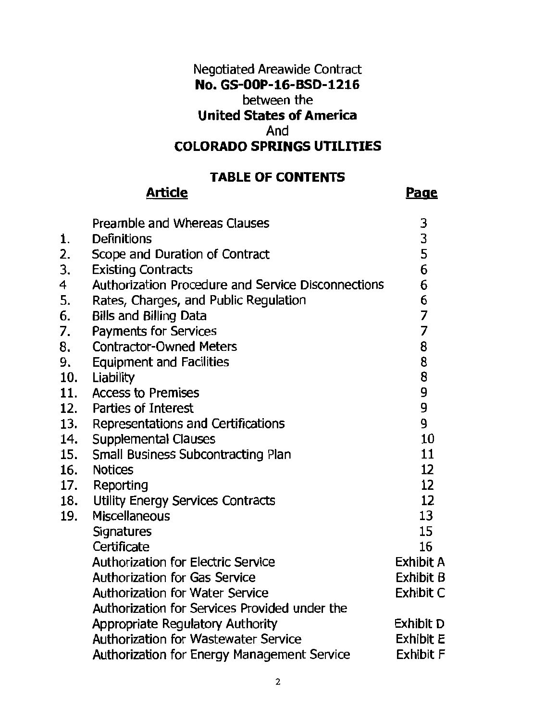## Negotiated Areawide Contract No. GS-OOP-16-BSD-1216 between the United States of America And COLORADO SPRINGS UTILITIES

## TABLE OF CONTENTS

## **Article**

### Page

|     | <b>Preamble and Whereas Clauses</b>                | 3                                          |
|-----|----------------------------------------------------|--------------------------------------------|
| 1.  | Definitions                                        |                                            |
| 2.  | Scope and Duration of Contract                     | $\begin{array}{c} 3 \\ 5 \\ 6 \end{array}$ |
| 3.  | <b>Existing Contracts</b>                          |                                            |
| 4   | Authorization Procedure and Service Disconnections | 6                                          |
| 5.  | Rates, Charges, and Public Regulation              | 6                                          |
| 6.  | <b>Bills and Billing Data</b>                      | 7                                          |
| 7.  | Payments for Services                              | $\overline{7}$                             |
| 8.  | <b>Contractor-Owned Meters</b>                     | 8                                          |
| 9.  | <b>Equipment and Facilities</b>                    | 8                                          |
| 10. | Liability                                          | 8                                          |
| 11. | <b>Access to Premises</b>                          | 9                                          |
| 12. | Parties of Interest                                | 9                                          |
|     | 13. Representations and Certifications             | 9                                          |
| 14. | <b>Supplemental Clauses</b>                        | 10                                         |
| 15. | Small Business Subcontracting Plan                 | 11                                         |
| 16. | <b>Notices</b>                                     | 12                                         |
| 17. | Reporting                                          | 12                                         |
| 18. | Utility Energy Services Contracts                  | 12                                         |
| 19. | <b>Miscellaneous</b>                               | 13                                         |
|     | Signatures                                         | 15                                         |
|     | Certificate                                        | 16                                         |
|     | <b>Authorization for Electric Service</b>          | Exhibit A                                  |
|     | <b>Authorization for Gas Service</b>               | Exhibit B                                  |
|     | <b>Authorization for Water Service</b>             | Exhibit C                                  |
|     | Authorization for Services Provided under the      |                                            |
|     | Appropriate Regulatory Authority                   | Exhibit D                                  |
|     | <b>Authorization for Wastewater Service</b>        | <b>Exhibit E</b>                           |
|     | Authorization for Energy Management Service        | <b>Exhibit F</b>                           |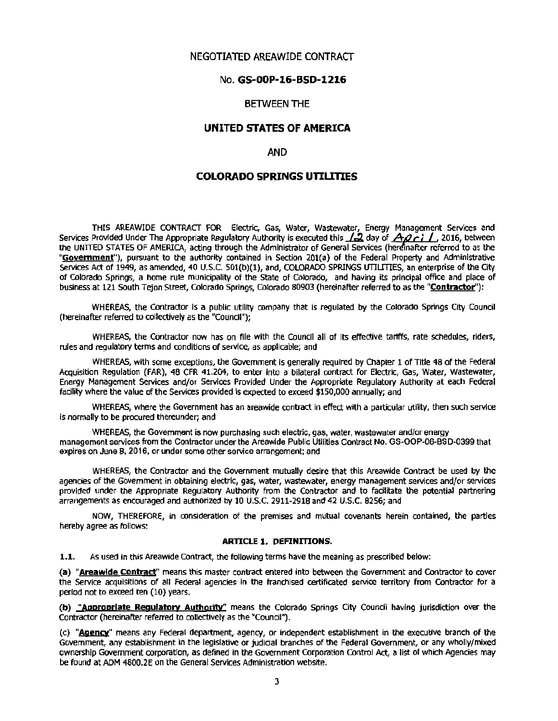#### NEGOTIATED AREAWIDE CONTRACT

#### No. GS-OOP-16-BSD-1216

#### BETWEEN THE

#### UNITED STATES OF AMERICA

#### AND

#### COLORADO SPRINGS UTILITIES

THIS AREAWIDE CONTRACT FOR Electric, Gas, Water, Wastewater, Energy Management Services and Services Provided Under The Appropriate Regulatory Authority is executed this **12** day of *AQci* 1, 2016, between the UNITED STATES OF AMERICA, acting through the Administrator of General Services (hereinafter referred to as the "Government"), pursuant to the authority contained in Section 201(a) of the Federal Property and Administrative Services Act of 1949, as amended, 40 U.S.C. 501(b)(1), and, COLORADO SPRINGS UTILITIES, an enterprise of the City of Colorado Springs, a home rule municipality of the State of Colorado, and having its principal office and place of business at 121 South Tejon Street, Colorado Springs, Colorado 80903 (hereinafter referred to as the "Contractor''):

WHEREAS, the Contractor is a public utility company that is regulated by the Colorado Springs City Council (hereinafter referred to collectively as the "Council");

WHEREAS, the Contractor now has on file with the Council all of its effective tariffs, rate schedules, riders, rules and regulatory terms and conditions of service, as applicable; and

WHEREAS, with some exceptions, the Government is generally required by Chapter 1 of Title 48 of the Federal Acquisition Regulation (FAR), 48 CFR 41.204, to enter Into a bilateral contract for Electric, Gas, Water, Wastewater, Energy Management Services and/or Services Provided Under the Appropriate Regulatory Authority at each Federal facility where the value of the Services provided is expected to exceed \$150,000 annually; and

WHEREAS, where the Government has an areawide contract in effect with a particular utility, then such service is normally to be procured thereunder; and

WHEREAS, the Government is now purchasing such electric, gas, water, wastewater and/or energy management services from the Contractor under the Areawide Public Utilities Contract No. GS-OOP-06-BSD-0399 that expires on June 8, 2016, or under some other service arrangement; and

WHEREAS, the Contractor and the Government mutually desire that this Areawide Contract be used by the agencies of the Government in obtaining electric, gas, water, wastewater, energy management services and/or services provided under the Appropriate Regulatory Authority from the Contractor and to facilitate the potential partnering arrangements as encouraged and authorized by 10 U.S.C. 2911-2918 and 42 U.S.C. 8256; and

NOW, THEREFORE, in oonsideratlon of the premises and mutual covenants herein contained, the parties hereby agree as follows:

#### ARTICLE 1. DEFINITIONS.

1.1. As used in this Areawide Contract, the following terms have the meaning as prescribed below:

(a) "Areawide Contract" means this master contract entered into between the Government and Contractor to cover the Service acquisitions of all Federal agencies In the franchised certificated service territory from Contractor for a period not to exceed ten (10) years.

(b) "Appropriate Regulatory Authority" means the Colorado Springs City Council having jurisdiction over the Contractor (hereinafter referred to collectively as the "Council").

(c) "Agency" means any Federal department, agency, or Independent establishment in the executive branch of the Government, any establishment in the legislative or judicial branches of the Federal Government, or any wholly/mixed ownership Government corporation, as defined in the Government Corporation Control Act, a list of which Agencies may be found at ADM 4800.2E on the General Services Administration website.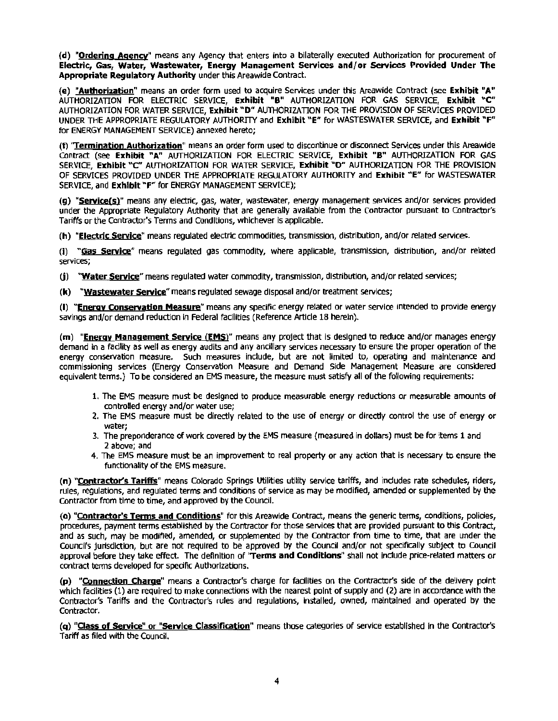(d) "Ordering Agency" means any Agency that enters into a bilaterally executed Authorization for procurement of Electric, Gas, Water, Wastewater, Energy Management Services and/or Services Provided Under The Appropriate Regulatory Authority under this Areawide Contract.

(e) "Authorization" means an order form used to acquire Services under this Areawide Contract (see Exhibit "A" AUTHORIZATION FOR ELECTRIC SERVICE, Exhibit "B" AUTHORIZATION FOR GAS SERVICE, Exhibit "C" AUTHORIZATION FOR WATER SERVICE, Exhibit "D" AUTHORIZATION FOR THE PROVISION OF SERVICES PROVIDED UNDER THE APPROPRIATE REGULATORY AUTHORITY and Exhibit "E" for WASTESWATER SERVICE, and Exhibit "F" for ENERGY MANAGEMENT SERVICE) annexed hereto;

(f) "Termination Authorization" means an order form used to discontinue or disconnect Services under this Areawide Contract (see Exhibit "A" AUTHORIZATION FOR ELECTRIC SERVICE, Exhibit "B" AUTHORIZATION FOR GAS SERVICE, Exhibit "C" AUTHORIZATION FOR WATER SERVICE, Exhibit "D" AUTHORIZATION FOR THE PROVISION OF SERVICES PROVIDED UNDER THE APPROPRIATE REGULATORY AUTHORITY and Exhibit '"E" for WASTESWATER SERVICE, and Exhibit "F" for ENERGY MANAGEMENT SERVICE);

(g) "Service(s)" means any electric, gas, water, wastewater, energy management services and/or services provided under the Appropriate Regulatory Authority that are generally available from the Contractor pursuant to Contractor's Tariffs or the Contractor's Terms and Conditions, whichever is applicable.

(h) "Electric Service" means regulated electric commodities, transmission, distribution, and/or related services.

(i) "Gas Service" means regulated gas commodity, where applicable, transmission, distribution, and/or related services;

(j) "Water Service" means regulated water commodity, transmission, distribution, and/or related services;

(k) "Wastewater Service" means regulated sewage disposal and/or treatment services;

(I) "Energy Conservation Measure" means any specific energy related or water service intended to provide energy savings and/or demand reduction in Federal facilities (Reference Article 18 herein).

(m) "Energy Management Service (EMS)" means any project that is designed to reduce and/or manages energy demand In a facility as well as energy audits and any ancillary services necessary to ensure the proper operation of the energy conservation measure. Such measures include, but are not limited to, operating and maintenance and commissioning services (Energy Conservation Measure and Demand Side Management Measure are considered equivalent terms.) To be considered an EMS measure, the measure must satisfy all of the following requirements:

- 1. The EMS measure must be designed to produce measurable energy reductions or measurable amounts of controlled energy and/or water use;
- 2. The EMS measure must be directly related to the use of energy or directly control the use of energy or water;
- 3. The preponderance of work covered by the EMS measure (measured in dollars) must be for items 1 and 2 above; and
- 4. The EMS measure must be an improvement to real property or any action that is necessary to ensure the functionality of the EMS measure.

(n) "Contractor's Tariffs" means Colorado Springs Utilities utility service tariffs, and indudes rate schedules, riders, rules, regulations, and regulated terms and conditions of service as may be modified, amended or supplemented by the Contractor from time to time, and approved by the Council.

(o) "Contractor's Terms and Conditions" for this Areawide Contract, means the generic terms, conditions, policies, procedures, payment terms established by the Contractor for those services that are provided pursuant to this Contract, and as such, may be modified, amended, or supplemented by the Contractor from time to time, that are under the Council's jurisdiction, but are not required to be approved by the Council and/or not specifically subject to Council approval before they take effect. The definition of 'Terms and Conditions" shall not include price-related matters or contract terms developed for specific Authorizations.

(p) "Connection Charge" means a Contractor's charge for facilities on the Contractor's side of the delivery point which facilities (1) are required to make connections with the nearest point of supply and (2) are in accordance with the Contractor's Tariffs and the Contractor's rules and regulations, Installed, owned, maintained and operated by the Contractor.

(q) "Class of Service" or "Service Classification" means those categories of service established in the Contractor's Tariff as filed with the Council.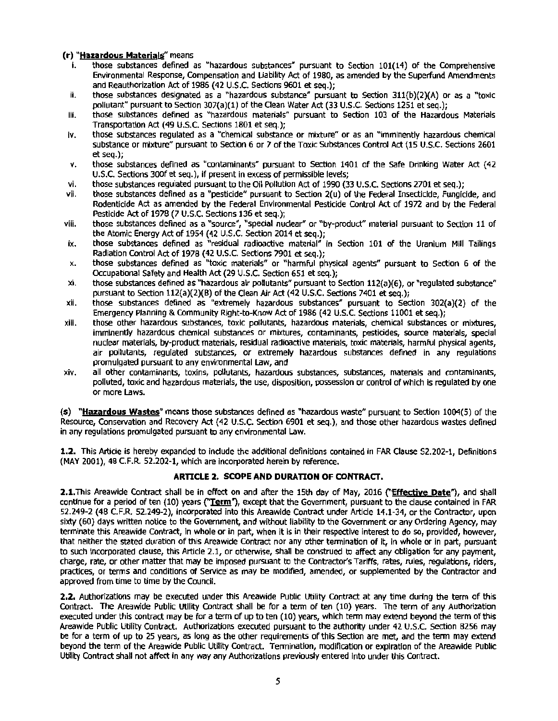#### **(r) "Hazardous Materials"** means

- those substances defined as "hazardous substances" pursuant to Section 101(14) of the Comprehensive Environmental Response, Compensation and Liability Act of 1980, as amended by the Superfund Amendments and Reauthorization Act of 1986 (42 U.S.C. Sections 9601 et seq.);
- ii. those substances designated as a "hazardous substance" pursuant to Section 311(b)(2)(A) or as a "toxic pollutant" pursuant to Section 307(a)(1) of the Clean Water Act (33 U.S.C. Sections 1251 et seq.);
- iii. those substances defined as "hazardous materials" pursuant to Section 103 of the Hazardous Materials Transportation Act (49 U.S.C. Sections 1801 et seq.);
- iv. those substances regulated as a "chemical substance or mixture" or as an "imminently hazardous chemical substance or mixture" pursuant to Section 6 or 7 of the Toxic Substances Control Act (15 U.S.C. Sections 2601 et seq.);
- v. those substances defined as "contaminants" pursuant to section 1401 of the Safe Drinking Water Act (42 U.S.C. Sections 300f et seq.), If present in excess of permissible levels;
- vi. those substances regulated pursuant to the Oil Pollution Act of 1990 (33 U.S.C. Sections 2701 et seq.);
- vii. those substances defined as a "pesticide" pursuant to Section 2(u) of the Federal Insecticide, Fungicide, and Rodenticide Act as amended by the Federal Environmental Pesticide Control Act of 1972 and by the Federal Pesticide Act of 1978 (7 U.S.C. Sections 136 et seq.);
- viii. those substances defined as a "source", "special nuclear" or "by-product" material pursuant to Section 11 of the Atomic Energy Act of 1954 (42 U.S.C. Section 2014 et seq.);
- Ix. those substances defined as "residual radioactive material" in Section 101 of the Uranium Mill Tailings Radiation Control Act of 1978 (42 U.S.C. Sections 7901 et seq.);
- x. those substances defined as "toxic materials" or "harmful physical agents" pursuant to Section 6 of the Occupational Safety and Health Act (29 U.S.C. Section 651 et seq.);
- $xi$ . those substances defined as "hazardous air pollutants" pursuant to Section 112(a)(6), or "requlated substance" pursuant to Section 112(a)(2)(B) of the Clean Air Act (42 U.S.C. Sections 7401 et seq.};
- xii. those substances defined as "extremely hazardous substances" pursuant to Section 302(a)(2) of the Emergency Planning & Community Right-to-Know Act of 1986 (42 U.S.C. Sections 11001 et seq.);
- xiii. those other hazardous substances, toxic pollutants, hazardous materials, chemical substances or mixtures, imminently hazardous chemical substances or mixtures, contaminants, pesticides, source materials, special nuclear materials, by-product materials, residual radioactive materials, toxic materials, harmful physical agents, air pollutants, regulated substances, or extremely hazardous substances defined in any regulations promulgated pursuant to any environmental Law, and
- xiv. all other contaminants, toxins, pollutants, hazardous substances, substances, matenals and contaminants, polluted, toxic and hazardous materials, the use, disposition, possession or control of which is regulated by one or more Laws.

(s) **"Hazardous Wastes"** means those substances defined as "hazardous wasteh pursuant to Section 1004(5) of the Resource, Conservation and Recovery Act (42 U.S.C. Section 6901 et seq.), and those other hazardous wastes defined in any regulations promulgated pursuant to any environmental Law.

**1.2.** This Artlde Is hereby expanded to lndude the additional definitions contained in FAR Clause 52.202-1, Definitions (MAY 2001), 48 C.F.R. 52.202-1, which are Incorporated herein by reference.

#### **ARTICLE 2. SCOPE AND DURATION OF CONTRACT.**

2.1. This Areawide Contract shall be in effect on and after the 15th day of May, 2016 ("Effective Date"), and shall continue for a period of ten (10) years ("Term"), except that the Government, pursuant to the clause contained in FAR 52.249-2 (48 C.F.R. 52.249-2), Incorporated into this Areawide Contract under Article 14.1-34, or the Contractor, upon sixty (60) days written notice to the Government, and without liability to the Government or any Ordering Agency, may terminate this Areawide Contract, ln whole or in part, when it is in their respective interest to do so, provided, however, that neither the stated duration of this Areawide Contract nor any other termination of It, In whole or in part, pursuant to such incorporated clause, this Article 2.1, or otherwise, shall be construed to affect any obligation for any payment, charge, rate, or other matter that may be imposed pursuant to the Contractor's Tariffs, rates, rules, regulations, riders, practices, or terms and conditions of Service as may be modified, amended, or supplemented by the Contractor and approved from time to time by the Council.

**2.2.** Authorizations may be executed under this Areawide Public utility Contract at any time during the term of this Contract. The Areawide Public Utility Contract shall be for a term of ten (10) years. The term of any Authorization executed under this contract may be for a term of up to ten (10) years, which tenn may extend beyond the term of this Areawide Public Utility Contract. Authorizations executed pursuant to the authority under 42 U.S.C. Section 8256 may be for a term of up to 25 years, as long as the other requirements of this Section are met, and the term may extend beyond the term of the Areawide Public Utility Contract. Termination, modification or expiration of the Areawide Public Utility Contract shall not affect In any way any Authorizations previously entered Into under this Contract.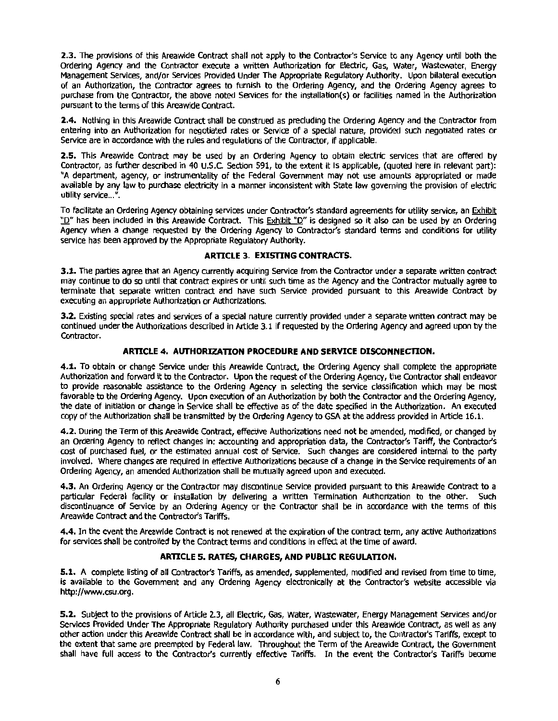**2.3.** The provisions of this Areawide Contract shall not apply to the Contractor's Service to any Agency until both the Ordering Agency and the Contractor execute a written Authorization for Electric, Gas, Water, Wastewater, Energy Management Services, and/or Services Provided Under The Appropriate Regulatory Authority. Upon bilateral execution of an Authorization, the Contractor agrees to furnish to the Ordering Agency, and the Ordering Agency agrees to purchase from the Contractor, the above noted Services for the lnstallatlon(s) or facilities named in the Authorization pursuant to the tenms of this Areawide contract.

2.4. Nothing in this Areawide Contract shall be construed as precluding the Ordering Agency and the Contractor from entering Into an Authorization for negotiated rates or Service of a special nature, provided such negotiated rates or Service are in accordance with the rules and regulations of the Contractor, if applicable.

**2.5.** This Areawide Contract may be used by an Ordering Agency to obtain electric services that are offered by Contractor, as further described In 40 U.S.C. Section 591, to the extent It is applicable, (quoted here in relevant part): "A department, agency, or instrumentality of the Federal Government may not use amounts appropriated or made available by any law to purchase electricity In a manner inconsistent with State law governing the provision of electric utility service...".

To facilitate an Ordering Agency obtaining services under Contractor's standard agreements for utility service, an Exhibit "D" has been included in this Areawide Contract. This Exhibit "D" is designed so it also can be used by an Ordering Agency when a change requested by the Ordering Agency to Contractor's standard tenms and conditions for utility service has been approved by the Appropriate Regulatory Authority.

#### **ARTICLE 3. EXISTlNG CONTRACTS.**

**3.1.** The parties agree that an Agency currently acquiring Service from the Contractor under a separate written contract may continue to do so until that contract expires or until such time as the Agency and the Contractor mutually agree to terminate that separate written contract and have such Service provided pursuant to this Areawide Contract by executing an appropriate Authorization or Authorizations.

**3.2.** Existing special rates and services of a special nature currently provided under a separate written contract may be continued under the Authorizations described in Article 3.1 if requested by the Ordering Agency and agreed upon by the Contractor.

#### **ARTICLE 4. AUTHORIZATION PROCEDURE AND SERVICE DISCONNECTION.**

**4.1.** To obtain or change Service under this Areawide Contract, the Ordering Agency shall complete the appropriate Authorization and forward It to the Contractor. Upon the request of the Ordering Agency, the Contractor shall endeavor to provide reasonable assistance to the Ordering Agency in selecting the service classification which may be most favorable to the Ordering Agency. Upon execution of an Authorization by both the Contractor and the Ordering Agency, the date of initiation or change in Service shall be effective as of the date specified in the Authorization. An executed copy of the Authorization shall be transmitted by the Ordering Agency to GSA at the address provided in Article 16.1.

**4.2.** During the Term of this Areawide Contract, effective Authorizations need not be amended, modified, or changed by an Ordering Agency to reflect changes In: accounting and appropriation data, the Contractor's Tariff, the Contractor's cost of purchased fuel, or the estimated annual cost of Service. Such changes are considered internal to the party involved. Where changes are required in effective Authorizations because of a change in the Service requirements of an Ordering Agency, an amended Authorization shall be mutually agreed upon and executed.

**4.3.** An Ordering Agency or the Contractor may discontinue Service provided pursuant to this Areawlde Contract to a particular Federal facility or installation by delivering a written Termination Authorization to the other. Such discontinuance of Service by an Ordering Agency or the Contractor shall be In accordance with the tenms of this Areawide Contract and the Contractor's Tariffs.

**4.4.** In the event the Areawide Contract Is not renewed at the expiration of the contract term, any active Authorizations for services shall be controlled by the Contract terms and conditions in effect at the time of award.

#### **ARTICLE 5. RATES, CHARGES, AND PUBUC REGULATION.**

**5.1.** A complete listing of all Contractor's Tariffs, as amended, supplemented, modified and revised from time to time, Is available to the Government and any Ordering Agency electronically at the Contractor's website accessible via http://www.csu.org.

**5.2.** Subject to the provisions of Article 2.3, all Electric, Gas, Water, Wastewater, Energy Management Services and/or services Provided Under The Appropriate Regulatory Authority purchased under this Areawide Contract, as well as any other action under this Areawide Contract shall be in accordance with, and subject to, the Contractor's Tariffs, except to the extent that same are preempted by Federal law. Throughout the Term of the Areawlde Contract, the Government shall have full access to the Contractor's currently effective Tariffs. In the event the Contractor's Tariffs beoome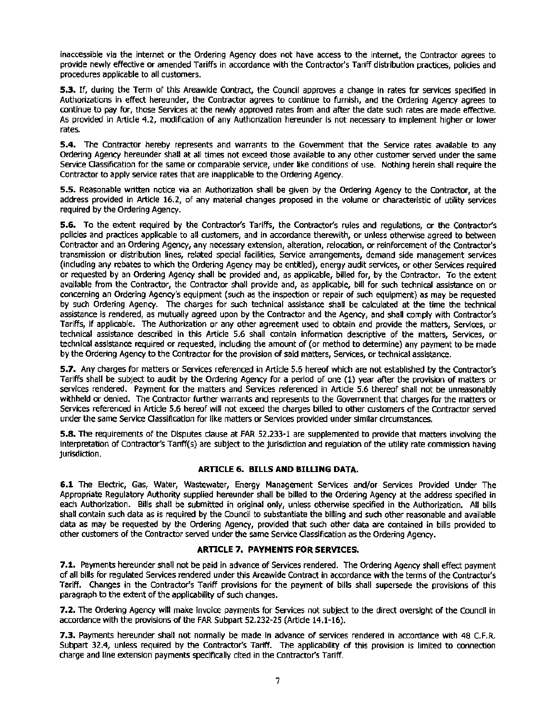Inaccessible via the internet or the Ordering Agency does not have access to the Internet, the Contractor agrees to provide newly effective or amended Tariffs In accordance with the Contractor's Tariff distribution practices, policies and procedures applicable to all customers.

**5.3.** If, during the Term of this Areawide Contract, the Council approves a change in rates for services specified in Authorizations in effect hereunder, the Contractor agrees to continue to furnish, and the Ordering Agency agrees to continue to pay for, those Services at the newly approved rates from and after the date such rates are made effective. As provided in Article 4.2, modification of any Authorization hereunder Is not necessary to implement higher or lower rates.

**S.4.** The Contractor hereby represents and warrants to the Government that the Service rates available to any Ordering Agency hereunder shall at all times not exceed those available to any other customer served under the same Service Oasslfication for the same or comparable service, under like conditions of use. Nothing herein shall require the Contractor to apply service rates that are inapplicable to the Ordering Agency.

**S.S.** Reasonable written notice via an Authorization shall be given by the Ordering Agency to the Contractor, at the address provided In Article 16.2, of any material changes proposed in the volume or characteristic of utility services required by the Ordering Agency.

**5.6.** To the extent required by the Contractor's Tariffs, the Contractor's rules and regulations, or the Contractors policies and practices applicable to all customers, and in accordance therewith, or unless otherwise agreed to between Contractor and an Ordering Agency, any necessary extension, alteration, relocation, or reinforcement of the Contractor's transmission or distribution lines, related special facilities, Service arrangements, demand side management services (including any rebates to which the Ordering Agency may be entitled), energy audit services, or other Services required or requested by an Ordering Agency shall be provided and, as applicable, billed for, by the Contractor. To the extent available from the Contractor, the Contractor shall provide and, as applicable, bill for such technical assistance on or concerning an Ordering Agency's equipment (such as the inspection or repair of such equipment) as may be requested by such Ordering Agency. The charges for such technical assistance shall be calculated at the time the technical assistance is rendered, as mutually agreed upon by the Contractor and the Agency, and shall comply with Contractor's Tariffs, if applicable. The Authorization or any other agreement used to obtain and provide the matters, Services, or technical assistance described in this Article 5.6 shall contain Information descriptive of the matters, Services, or technical assistance required or requested, including the amount of (or method to determine) any payment to be made by the Ordering Agency to the Contractor for the provision of said matters, Services, or technical assistance.

**5.7.** Any charges for matters or Services referenced in Article 5.6 hereof which are not established by the Contractor's Tariffs shall be subject to audit by the Ordering Agency for a period of one (1) year after the provision of matters or services rendered. Payment for the matters and Services referenced in Article 5.6 thereof shall not be unreasonably withheld or denied. The Contractor further warrants and represents to the Government that charges for the matters or Services referenced in Article 5.6 hereof will not exceed the charges billed to other customers of the Contractor served under the same Service Oassification for like matters or Services provided under similar circumstances.

**S.8.** The requirements of the Disputes dause at FAR 52.233·1 are supplemented to provide that matters involving the interpretation of Contractor's Tartff(s) are subject to the jurisdiction and regulation of the utility rate commission having jurisdiction.

#### **ARTICLE 6. BILLS AND BILLING DATA.**

**6.1** The Electric, Gas, Water, Wastewater, Energy Management Services and/or Services Provided Under The Appropriate Regulatory Authority supplied hereunder shall be billed to the Ordering Agency at the address specified in each Authorization. Bills shall be submitted in original only, unless otherwise specified in the Authorization. All bills shall contain such data as is required by the Council to substantiate the billing and such other reasonable and available data as may be requested by the Ordering Agency, provided that such other data are contained in bills provided to other customers of the Contractor served under the same Service Classification as the Ordering Agency.

#### **ARTICLE 7. PAYMENTS FOR SERVICES.**

**7.1.** Payments hereunder shall not be paid in advance of Services rendered. The Ordering Agency shall effect payment of all bills for regulated Services rendered under this Areawide Contract In accordance with the terms of the Contractor's Tariff. Changes in the Contractor's Tariff provisions for the payment of bills shall supersede the provisions of this paragraph to the extent of the applicability of such changes.

**7.2.** The Ordering Agency will make Invoice payments for Services not subject to the direct oversight of the Council in accordance with the provisions of the FAR Subpart 52.232-25 (Article 14.1-16).

**7.3.** Payments hereunder shall not normally be made In advance of services rendered in accordance with 48 C.F.R. Subpart 32.4, unless required by the Contractor's Tariff. The applicability of this provision is limited to connection charge and line extension payments specifically cited in the Contractor's Tariff.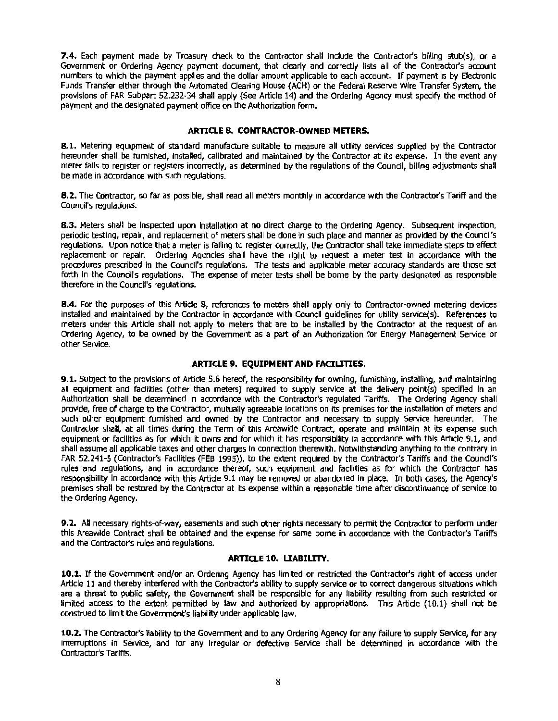**7.4.** Each payment made by Treasury check to the Contractor shall include the Contractor's billing stub(s), or a Government or Ordering Agency payment document, that clearly and correctly lists all of the Contractor's account numbers to which the payment applies and the dollar amount applicable to each account. If payment is by Electronic Funds Transfer either through the Automated Clearing House (ACH) or the Federal Reserve Wire Transfer System, the provisions of FAR Subpart 52.232-34 shall apply (See Article 14) and the Ordering Agency must specify the method of payment and the designated payment office on the Authorization form.

#### **ARTICLE 8. CONTRACTOR-OWNED METERS.**

**8.1.** Metering equipment of standard manufacture suitable to measure all utility services supplied by the Contractor hereunder shall be furnished, installed, calibrated and maintained by the Contractor at its expense. In the event any meter fails to register or registers incorrectly, as determined by the regulations of the Council, billing adjustments shall be made in accordance with such regulations.

**8.2.** The Contractor, so far as possible, shall read all meters monthly in accordance with the Contractor's Tariff and the council's regulations.

**8.3.** Meters shall be inspected upon Installation at no direct charge to the Ordering Agency. Subsequent inspection, periodic testing, repair, and replacement of meters shall be done in such place and manner as provided by the Council's regulations. Upon notice that a meter is failing to register correctly, the contractor shall take immediate steps to effect replacement or repair. Ordering Agencies shall have the right to request a meter test in accordance with the procedures prescribed In the Council's regulations. The tests and applicable meter accuracy standards are those set forth in the Council's regulations. The expense of meter tests shall be bome by the party designated as responsible therefore in the Council's regulations.

**8.4.** For the purposes of this Article 8, references to meters shall apply only to Contractor-owned metering devices Installed and maintained by the contractor in accordance with council guidelines for utility service(s). References to meters under this Article shall not apply to meters that are to be installed by the Contractor at the request of an Ordering Agency, to be owned by the Government as a part of an Authorization for Energy Management Service or other Service.

#### **ARTICLE 9. EQUIPMENT AND FACILITIES.**

**9.1.** Subject to the provisions of Artlde 5.6 hereof, the responsibility for owning, furnishing, Installing, and maintaining all equipment and facilities (other than meters) required to supply service at the delivery point(s) specified in an Authorization shall be determined in accordance wlth the Contractor's regulated Tariffs. The Ordering Agency shall provide, free of charge to the Contractor, mutually agreeable locations on its premises for the installation of meters and such other equipment furnished and owned by the Contractor and necessary to supply Service hereunder. The contractor shall, at all times during the Term of this Areawide Contract, operate and maintain at its expense such equipment or facilities as for which It owns and for which it has responsibility in accordance with this Article 9.1, and shall assume all applicable taxes and other charges In connection therewith. Notwithstanding anything to the contrary in FAR 52.241-5 (Contractor's Facilities (FEB 1995)), to the extent required by the Contractor's Tariffs and the Council's rules and regulations, and in accordance thereof, such equipment and facllities as for which the Contractor has responsibility in accordance with this Article 9.1 may be removed or abandoned In place. In both cases, the Agency's premises shall be restored by the Contractor at its expense within a reasonable time after discontinuance of service to the Ordering Agency.

**9.2.** All necessary rights-of-way, easements and such other rights necessary to permit the Contractor to perform under this Areawide Contract shall be obtained and the expense for same borne in accordance with the Contractor's Tariffs and the Contractor's rules and regulations.

#### **ARTICLE 10. UABILITY.**

**10.1.** If the Government and/or an Ordering Agency has limited or restricted the Contractor's right of access under Article 11 and thereby interfered with the contractor's ability to supply service or to correct dangerous situations which are a threat to public safety, the Government shall be responsible for any liability resulting from such restricted or limited access to the extent permitted by law and authorized by appropriations. This Article (10.1) shall not be construed to limit the Government's liability under applicable law.

**10.2.** The Contractor's liability to the Government and to any Ordering Agency for any failure to supply Service, for any interruptions in Service, and for any irregular or defective Service shall be determined in accordance with the Contractor's Tariffs.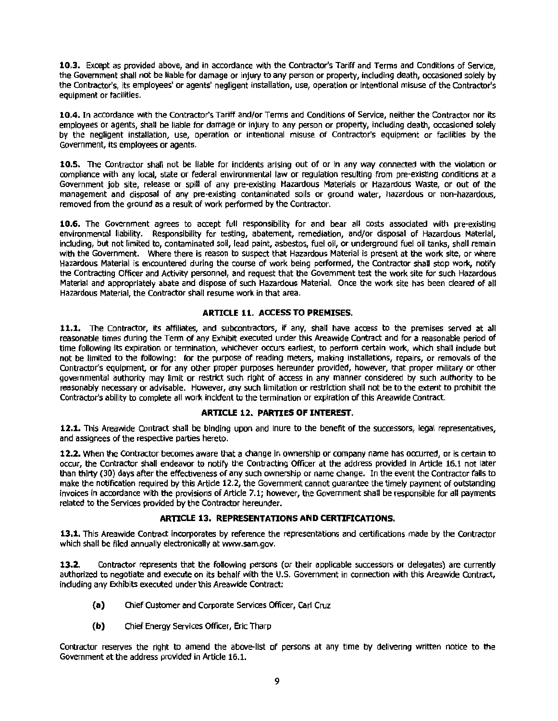**10.3.** Except as provided above, and in accordance with the Contractor's Tariff and Terms and Conditions of Service, the Government shall not be liable for damage or injury to any person or property, Including death, occasioned solely by the Contractor's, its employees' or agents' negligent Installation, use, operation or Intentional misuse of the Contractor's equipment or facilities.

**10.4.** In accordance with the Contractor's Tariff and/or Terms and Conditions or Service, neither the Contractor nor its employees or agents, shall be liable for damage or Injury to any person or property, Including death, occasioned solely by the negligent installation, use, operation or intentional misuse of Contractor's equipment or facilities by the Government, its employees or agents.

**10.5.** The Contractor shall not be liable for Incidents arising out of or In any way connected with the violation or compliance with any local, state or federal environmental law or regulation resulting from pre-existing conditions at a Government job site, release or spill of any pre-existing Hazardous Materials or Hazardous Waste, or out of the management and disposal of any pre-existing contaminated soils or ground water, hazardous or non-hazardous, removed from the ground as a result of work performed by the Contractor.

**10.6.** The Government agrees to accept full responsibility for and bear all costs associated with pre-existing environmental liability. Responsibility for testing, abatement, remediation, and/or disposal of Hazardous Material, Including, but not limited to, contaminated soil, lead paint, asbestos, fuel all, or underground fuel all tanks, shall remain with the Government. Where there is reason to suspect that Hazardous Material is present at the work site, or where Hazardous Material is encountered during the course of work being performed, the Contractor shall stop work, notify the Contracting Officer and Activity personnel, and request that the Government test the work site for such Hazardous Material and appropriately abate and dispose of such Hazardous Material. Once the work site has been deared of all Hazardous Material, the Contractor shall resume work in that area.

#### **ARTICLE 11. ACCESS TO PREMISES.**

11.1. The Contractor, its affiliates, and subcontractors, if any, shall have access to the premises served at all reasonable times during the Term of any Exhibit executed under this Areawide Contract and for a reasonable period of time following its expiration or termination, whichever occurs earliest, to perform certain work, which shall include but not be limited to the following: for the purpose of reading meters, making installations, repairs, or removals of the Contractor's equipment, or for any other proper purposes hereunder provided, however, that proper military or other governmental authority may limit or restrict such right of access in any manner considered by such authority to be reasonably necessary or advisable. However, any such limitation or restriction shall not be to the extent to prohibit the Contractor's ability to complete all work Incident to the termination or expiration of this Areawide Contract.

#### **ARTICLE 12. PARTIES OF INTEREST.**

**12.1.** This Areawide Contract shall be binding upon and Inure to the benefit of the successors, legal representatives, and assignees of the respective parties hereto.

**12.2.** When the Contractor becomes aware that a change In ownership or company name has occurred, or is certain to occur, the Contractor shall endeavor to notify the Contracting Officer at the address provided in Article 16.1 not later than thirty (30) days after the effectiveness of any such ownership or name change. In the event the Contractor falls to make the notification required by this Artide 12.2, the Government cannot guarantee the timely payment of outstanding invoices in accordance with the provisions of Article 7.1; however, the Government shall be responsible for all payments related to the Services provided by the Contractor hereunder.

#### **ARTICLE 13. REPRESENTATIONS AND CERTIFICATIONS.**

**13.1.** This Areawide Contract incorporates by reference the representations and certifications made by the Contractor which shall be filed annually electronically at www.sam.gov.

**13.2.** Contractor represents that the following persons (or their applicable successors or delegates) are currently authorized to negotiate and execute on its behalf with the U.S. Government in connection with this Areawide Contract, fnduding any Exhibits executed under this Areawide Contract:

- **(a)** Chief Customer and Corporate Services Officer, Carl Cruz
- **(b)** Chief Energy Services Officer, Eric Tharp

Contractor reserves the right to amend the above-list of persons at any time by delivering written notice to the Government at the address provided in Article 16.1.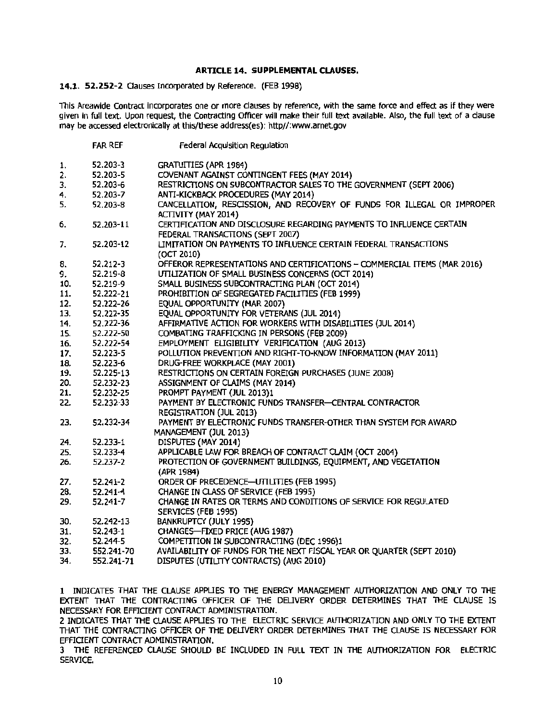#### ARTICLE 14. SUPPLEMENTAL CLAUSES.

#### 14.1. 52.252-2 Oauses Incorporated by Reference. (FEB 1998)

This Areawide Contract incorporates one or more clauses by reference, with the same force and effect as if they were given in full text. Upon request, the Contracting Officer will make their full text available. Also, the full text of a clause may be accessed electronically at this/these address(es): http//:www.arnet.gov

|          | <b>FAR REF</b> | Federal Acquisition Regulation                                                                                  |
|----------|----------------|-----------------------------------------------------------------------------------------------------------------|
| 1.       | 52.203-3       | <b>GRATUITIES (APR 1984)</b>                                                                                    |
| 2.       | 52.203-5       | COVENANT AGAINST CONTINGENT FEES (MAY 2014)                                                                     |
| 3.       | 52.203-6       | RESTRICTIONS ON SUBCONTRACTOR SALES TO THE GOVERNMENT (SEPT 2006)                                               |
| 4.       | 52.203-7       | ANTI-KICKBACK PROCEDURES (MAY 2014)                                                                             |
| 5.       | 52.203-8       | CANCELLATION, RESCISSION, AND RECOVERY OF FUNDS FOR ILLEGAL OR IMPROPER                                         |
|          |                | ACTIVITY (MAY 2014)                                                                                             |
| 6.       | 52.203-11      | CERTIFICATION AND DISCLOSURE REGARDING PAYMENTS TO INFLUENCE CERTAIN<br>FEDERAL TRANSACTIONS (SEPT 2007)        |
|          | 52.203-12      | LIMITATION ON PAYMENTS TO INFLUENCE CERTAIN FEDERAL TRANSACTIONS                                                |
| 7.       |                |                                                                                                                 |
|          |                | (OCT 2010)<br>OFFEROR REPRESENTATIONS AND CERTIFICATIONS - COMMERCIAL ITEMS (MAR 2016)                          |
| 8.<br>9. | 52.212-3       | UTILIZATION OF SMALL BUSINESS CONCERNS (OCT 2014)                                                               |
|          | 52.219-8       | SMALL BUSINESS SUBCONTRACTING PLAN (OCT 2014)                                                                   |
| 10.      | 52.219-9       | PROHIBITION OF SEGREGATED FACILITIES (FEB 1999)                                                                 |
| 11.      | 52.222-21      | EQUAL OPPORTUNITY (MAR 2007)                                                                                    |
| 12.      | 52.222-26      | EQUAL OPPORTUNITY FOR VETERANS (JUL 2014)                                                                       |
| 13.      | 52.222-35      | AFFIRMATIVE ACTION FOR WORKERS WITH DISABILITIES (JUL 2014)                                                     |
| 14.      | 52.222-36      |                                                                                                                 |
| 15.      | 52.222-50      | COMBATING TRAFFICKING IN PERSONS (FEB 2009)                                                                     |
| 16.      | 52.222-54      | EMPLOYMENT ELIGIBILITY VERIFICATION (AUG 2013)<br>POLLUTION PREVENTION AND RIGHT-TO-KNOW INFORMATION (MAY 2011) |
| 17.      | 52.223-5       |                                                                                                                 |
| 18.      | 52.223-6       | DRUG-FREE WORKPLACE (MAY 2001)<br>RESTRICTIONS ON CERTAIN FOREIGN PURCHASES (JUNE 2008)                         |
| 19.      | 52.225-13      |                                                                                                                 |
| 20.      | 52.232-23      | ASSIGNMENT OF CLAIMS (MAY 2014)                                                                                 |
| 21.      | 52.232-25      | PROMPT PAYMENT (JUL 2013)1                                                                                      |
| 22.      | 52.232-33      | PAYMENT BY ELECTRONIC FUNDS TRANSFER-CENTRAL CONTRACTOR                                                         |
|          |                | REGISTRATION (JUL 2013)                                                                                         |
| 23.      | 52.232-34      | PAYMENT BY ELECTRONIC FUNDS TRANSFER-OTHER THAN SYSTEM FOR AWARD                                                |
|          |                | MANAGEMENT (JUL 2013)                                                                                           |
| 24.      | 52.233-1       | DISPUTES (MAY 2014)                                                                                             |
| 25.      | 52.233-4       | APPLICABLE LAW FOR BREACH OF CONTRACT CLAIM (OCT 2004)                                                          |
| 26.      | 52.237-2       | PROTECTION OF GOVERNMENT BUILDINGS, EQUIPMENT, AND VEGETATION<br>(APR 1984)                                     |
| 27.      | 52.241-2       | ORDER OF PRECEDENCE-UTILITIES (FEB 1995)                                                                        |
| 28.      | 52.241-4       | CHANGE IN CLASS OF SERVICE (FEB 1995)                                                                           |
| 29.      | 52.241-7       | CHANGE IN RATES OR TERMS AND CONDITIONS OF SERVICE FOR REGULATED                                                |
|          |                | SERVICES (FEB 1995)                                                                                             |
| 30.      | 52.242-13      | BANKRUPTCY (JULY 1995)                                                                                          |
| 31.      | 52.243-1       | CHANGES-FIXED PRICE (AUG 1987)                                                                                  |
| 32.      | 52.244-5       | COMPETITION IN SUBCONTRACTING (DEC 1996)1                                                                       |
| 33.      | 552.241-70     | AVAILABILITY OF FUNDS FOR THE NEXT FISCAL YEAR OR QUARTER (SEPT 2010)                                           |
| 34.      | 552.241-71     | DISPUTES (UTILITY CONTRACTS) (AUG 2010)                                                                         |

1 INDICATES THAT THE CLAUSE APPLIES TO THE ENERGY MANAGEMENT AUTHORIZATION AND ONLY TO THE EXTENT THAT THE CONTRACTING OFFICER OF THE DELIVERY ORDER DETERMINES THAT THE CLAUSE IS NECESSARY FOR EFFICIENT CONTRACT ADMINISTRATION.

2 INDICATES THAT THE CLAUSE APPUES TO THE ELECTRIC SERVICE AUTHORIZATION AND ONLY TO THE EXTENT THAT THE CONTRACTING OFFICER OF THE OEUVERY ORDER DETERMINES THAT THE CLAUSE IS NECESSARY FOR EFFICIENT CONTRACT ADMINISTRATION.

3 THE REFERENCED CLAUSE SHOULD BE INCLUDED IN FULL TEXT IN THE AUTHORIZATION FOR ELECTRIC SERVICE.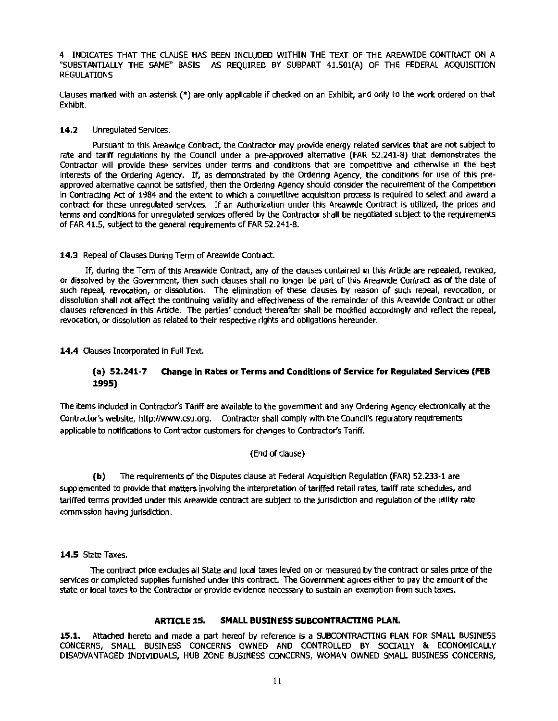4 INDICATES THAT THE CLAUSE HAS BEEN INCLUDED WITHIN THE TEXT OF THE AREAWIDE CONTRACT ON A "SUBSTANTIALLY THE SAME" BASIS AS REQUIRED BY SUBPART 41.SOl(A) OF THE FEDERAL ACQUISITION **REGULATIONS** 

Clauses marked with an asterisk(\*) are only applicable if checked on an Exhibit, and only to the work ordered on that Exhibit.

#### 14.2 Unregulated Services.

Pursuant to this Areawide Contract, the Contractor may provide energy related services that are not subject to rate and tariff regulations by the Council under a pre-approved alternative (FAR 52.241-8) that demonstrates the Contractor will provide these services under terms and conditions that are competitive and otherwise in the best interests of the Ordering Agency. If, as demonstrated by the Ordering Agency, the conditions for use of this preapproved alternative cannot be satisfied, then the Ordering Agency should consider the requirement of the Competition In Contracting Act of 1984 and the extent to which a competitive acquisition process Is required to select and award a contract for these unregulated services. If an Authorization under this Areawide Contract Is utilized, the prices and terms and conditions for unregulated services offered by the Contractor shall be negotiated subject to the requirements of FAR 41.5, subject to the general requirements of FAR 52.241-8.

#### 14.3 Repeal of Clauses During Term of Areawide Contract.

If, during the Term of this Areawide Contract, any of the dauses contained in this Article are repealed, revoked, or dissolved by the Government, then such dauses shall no longer be part of this Areawide Contract as of the date of such repeal, revocation, or dissolution. The elimination of these clauses by reason of such repeal, revocation, or dissolution shall not affect the continuing validity and effectiveness of the remainder of this Areawide Contract or other clauses referenced in this Article. The parties' conduct thereafter shall be modified accordingly and reflect the repeal, revocation, or dissolution as related to their respective rights and obligations hereunder.

14.4 Clauses Incorporated in Full Text.

#### (a) 52.241-7 Change in Rates or Terms and Conditions of Service for Regulated Services (FEB 1995)

The Items Included in Contractor's Tariff are available to the government and any Ordering Agency electronically at the Contractor's website, http:f/www.csu.org. Contractor shall comply with the Council's regulatory requirements applicable to notifications to Contractor customers for changes to Contractor's Tariff.

#### (End of clause)

(b) The requirements of the Disputes clause at Federal Acquisition Regulation (FAR) 52.233·1 are supplemented to provide that matters involving the interpretation of tariffed retail rates, tariff rate schedules, and tariffed terms provided under this Areawide contract are subject to the jurisdiction and regulation of the utility rate commission having jurisdiction.

14.S State Taxes.

The contract price excludes all State and local taxes levied on or measured by the contract or sales price of the services or completed supplies furnished under this contract. The Government agrees either to pay the amount of the state or local taxes to the Contractor or provide evidence necessary to sustain an exemption from such taxes.

#### ARTICLE 15. SMALL BUSINESS SUBCONTRACTING PLAN.

15.1. Attached hereto and made a part hereof by reference is a SUBCONTRACTING PLAN FOR SMALL BUSINESS CONCERNS, SMALL BUSINESS CONCERNS OWNED AND CONTROLLED BY SOCIALLY & ECONOMICALLY DISADVANTAGED INDIVIDUALS, HUB ZONE BUSINESS CONCERNS, WOMAN OWNED SMALL BUSINESS CONCERNS,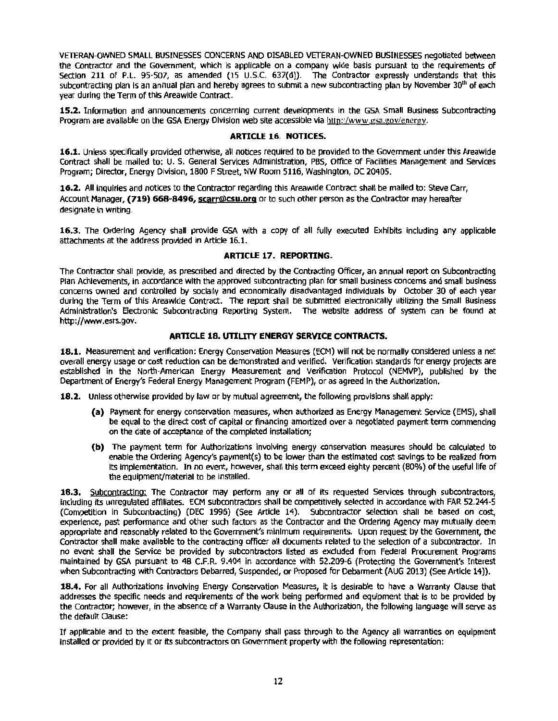VETERAN-OWNED SMALL BUSINESSES CONCERNS AND DISABLED VETERAN-OWNED BUSINESSES negotiated between the Contractor and the Government, which is applicable on a company wide basis pursuant to the requirements of Section 211 of P.L. 95-507, as amended (15 U.S.C. 637(d)). The Contractor expressly understands that this subcontracting plan is an annual plan and hereby agrees to submit a new subcontracting plan by November 30<sup>m</sup> of each year during the Term of this Areawide Contract.

**15.2.** Information and announcements concerning current developments in the GSA SmaU Business Subcontracting Program are available on the GSA Energy Division web site accessible via http://www.gsa.gov/energy.

#### **ARTICLE 16. NOTICES.**

**16.1.** Unless specifically provided otherwise, all notices required to be provided to the Government under this Areawide Contract shall be mailed to: U. S. General Services Administration, PBS, Office of Facilities Management and Services Program; Director, Energy Division, 1800 FStreet, NW Room 5116, Washington, DC 20405.

**16.2.** AU Inquiries and notices to the Contractor regarding this Areawide Contract shall be malled to: Steve Carr, Account Manager, **(719) 668-8496, scarr@csu.org** or to such other person as the Contractor may hereafter designate in writing.

**16.3.** The Ordering Agency shall provide GSA with a copy of all fully executed Exhibits Including any applicable attachments at the address provided in Article 16.1.

#### **ARTICLE 17. REPORTING.**

The Contractor shall provide, as prescribed and directed by the Contracting Officer, an annual report on Subcontracting Plan Achievements, In accordance with the approved subcontracting plan for small business concerns and small business concerns owned and controlled by socially and economically disadvantaged lndlvlduals by October 30 of each year during the Term of this Areawide Contract. The report shall be submitted electronically utilizing the Small Business Administration's Electronic Subcontracting Reporting System. The website address of system can be found at http://www.esrs.gov.

#### **ARTICLE 18. UTILITY ENERGY SERVICE CONTRACTS.**

**18.l.** Measurement and verification: Energy Conservation Measures (ECM) will not be normally considered unless a net overall energy usage or cost reduction can be demonstrated and verified. Verification standards for energy projects are established In the North-American Energy Measurement and Verification Protocol (NEMVP), published by the Department of Energy's Federal Energy Management Program (FEMP), or as agreed In the Authorization.

**18.2.** Unless otherwise provided by law or by mutual agreement, the following provisions shall apply:

- (a) Payment for energy conservation measures, when authorized as Energy Management Service (EMS), shall be equal to the direct cost of capital or financing amortized over a negotiated payment term commencing on the date of acceptance of the completed installation;
- **(b)**  The payment term for Authorizations Involving energy conservation measures should be calculated to enable the Ordering Agency's payment(s) to be lower than the estimated cost savings to be realized from Its Implementation. In no event, however, shall this term exceed eighty percent (80%) of the useful life of the equipment/material to be installed.

18.3. Subcontracting: The Contractor may perform any or all of its requested Services through subcontractors, including Its unregulated affiliates. ECM subcontractors shall be competitively selected in accordance with FAR 52.244-5 (Competition In Subcontracting) (DEC 1996) (See Article 14). Subcontractor selection shall be based on cost, experience, past performance and other such factors as the Contractor and the Ordering Agency may mutually deem appropriate and reasonably related to the Government's minimum requirements. Upon request by the Government, the Contractor shall make available to the contracting officer all documents related to the selection of a subcontractor. In no event shall the Service be provided by subcontractors listed as exduded from Federal Procurement Programs maintained by GSA pursuant to 48 C.F.R. 9.404 in accordance with 52.209-6 (Protecting the Government's Interest when Subcontracting with Contractors Debarred, Suspended, or Proposed for Debannent (AUG 2013) (See Article 14)).

18.4. For all Authorizations involving Energy Conservation Measures, it is desirable to have a Warranty Clause that addresses the specific needs and requirements of the work being performed and equipment that Is to be provided by the Contractor; however, in the absence of a Warranty Oause In the Authorization, the following language will serve as the default Oause:

If applicable and to the extent feasible, the Company shall pass through to the Agency all warranties on equipment installed or provided by it or its subcontractors on Government property with the following representation: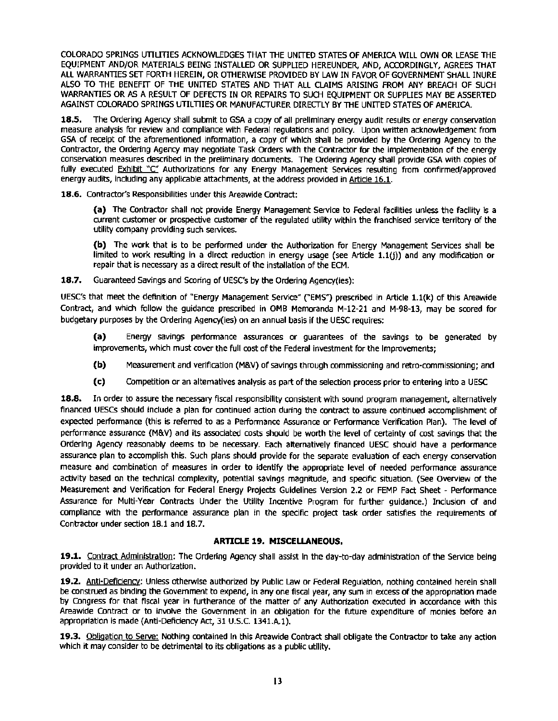COLORADO SPRINGS UTILITIES ACKNOWLEDGES THAT THE UNITED STATES OF AMERICA WILL OWN OR LEASE THE EQUIPMENT AND/OR MATERIALS BEING INSTALLED OR SUPPLIED HEREUNDER, AND, ACCORDINGLY, AGREES THAT ALL WARRANTIES SET FORTH HEREIN, OR OTHERWISE PROVIDED BY LAW IN FAVOR OF GOVERNMENT SHALL INURE ALSO TO THE BENEFIT OF THE UNITED STATES AND THAT ALL CLAIMS ARISING FROM ANY BREACH OF SUCH WARRANTIES OR AS A RESULT OF DEFECTS IN OR REPAIRS TO SUCH EQUIPMENT OR SUPPLIES MAY BE ASSERTED AGAINST COLORADO SPRINGS UTILTIIES OR MANUFACTURER DIRECTLY BY THE UNITED STATES OF AMERICA.

18.5. The Ordering Agency shall submit to GSA a copy of all preliminary energy audit results or energy conservation measure analysis for review and compliance with Federal regulations and policy. Upon written acknowledgement from GSA of receipt of the aforementioned information, a copy of which shall be provided by the Ordering Agency to the Contractor, the Ordering Agency may negotiate Task Orders with the Contractor for the implementation of the energy conservation measures described in the preliminary documents. The Ordering Agency shall provide GSA with copies of fully executed Exhibit "C" Authorizations for any Energy Management Services resulting from confirmed/approved energy audits, including any applicable attachments, at the address provided in Article 16.1.

18.6. Contractor's Responsibilities under this Areawide Contract:

(a) The Contractor shall not provide Energy Management Service to Federal facilities unless the facility is a current customer or prospective customer of the regulated utility within the franchised service territory of the utility company providing such services.

(b) The work that is to be performed under the Authorization for Energy Management Services shall be limited to work resulting In a direct reduction in energy usage (see Article 1.l(j)) and any modification or repair that is necessary as a direct result of the installation of the ECM.

18.7. Guaranteed Savings and Scoring of UESC's by the Ordering Agency(ies):

UESC's that meet the definition of "Energy Management Service" f'EMS} prescribed in Article 1.l(k) of this Areawide Contract, and which follow the guidance prescribed in OMB Memoranda M-12-21 and M-98-13, may be scored for budgetary purposes by the Ordering Agency(ies) on an annual basis if the UESC requires:

(a) Energy savings performance assurances or guarantees of the savings to be generated by improvements, which must cover the full cost of the Federal investment for the Improvements;

- (b) Measurement and verification (M&V) of savings through commissioning and retro-commissioning; and
- (c) Competition or an altematlves analysis as part of the selection process prior to entering Into a UESC

18.8. In order to assure the necessary fiscal responsibility consistent with sound program management, alternatively financed UESCs should Include a plan for continued action during the contract to assure continued accomplishment of expected performance (this is referred to as a Performance Assurance or Performance Verification Plan). The level of performance assurance (M&V) and its associated costs should be worth the level of certainty of cost savings that the Ordering Agency reasonably deems to be necessary. Each alternatively financed UESC should have a performance assurance plan to accomplish this. Such plans should provide for the separate evaluation of each energy conservation measure and combination of measures in order to identify the appropriate level of needed performance assurance activity based on the technical complexity, potential savings magnitude, and specific situation. (See Overview of the Measurement and Verification for Federal Energy Projects Guidelines Version 2.2 or FEMP Fact Sheet - Performance Assurance for Multi-Year Contracts Under the Utlllty Incentive Program for further guidance.) Inclusion of and compliance with the performance assurance plan In the specific project task order satisfies the requirements of Contractor under section 18.1 and 18.7.

#### ARTICLE 19. MISCELLANEOUS.

19.1. Contract Administration: The Ordering Agency shall assist in the day-to-day administration of the Service being provided to it under an Authorization.

19.2. Anti-Deficiency: Unless otherwise authorized by Public Law or Federal Regulatlon, nothing contained herein shall be construed as binding the Government to expend, in any one fiscal year, any sum in excess of the appropriation made by Congress for that flscal year in furtherance of the matter of any Authorization executed in accordance with this Areawide Contract or to involve the Government in an obligation for the future expenditure of monies before an appropriation is made (Anti-Deficiency Act, 31 U.S.C. 1341.A.1).

19.3. Obligation to Serve: Nothing contained In this Areawide Contract shall obligate the Contractor to take any action which it may consider to be detrimental to its obligations as a public utility.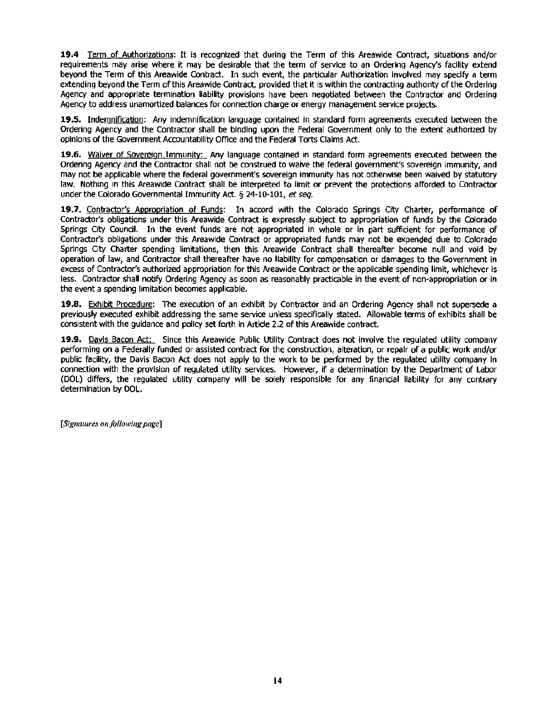**19.4** Term of Authorizations: It is recognized that during the Term of this Areawide Contract, situations and/or requirements may arise where it may be desirable that the term of service to an Ordering Agency's facility extend beyond the Term of this Areawide Contract. In such event, the particular Authorization Involved may specify a term extending beyond the Term of this Areawide Contract, provided that it is within the contracting authority of the Ordering Agency and appropriate termination liability provisions have been negotiated between the Contractor and Ordering Agency to address unamortized balances for connection charge or energy management service projects.

19.5. Indemnification: Any indemnification language contained in standard form agreements executed between the Ordering Agency and the Contractor shall be binding upon the Federal Government only to the extent authorized by opinions of the Government Accountability Office and the Federal Torts Claims Act.

**19.6.** Waiver of Sovereign Immunity: Any language contained in standard form agreements executed between the Ordering Agency and the Contractor shall not be construed to waive the federal government's sovereign immunity, and may not be applicable where the federal government's sovereign Immunity has not otherwise been waived by statutory law. Nothing in this Areawide Contract shall be Interpreted to limit or prevent the protections afforded to Contractor under the Colorado Governmental Immunity Act. § 24-10-101, *et seq.* 

**19.7.** Contractor's Appropriation of Funds: In accord with the Colorado Springs City Charter, performance or Contractor's obligations under this Areawide Contract is expressly subject to appropriation of funds by the Colorado Springs City Council. In the event funds are not appropriated in whole or in part sufficient for performance of Contractor's obligations under this Areawide Contract or appropriated funds may not be expended due to Colorado Springs City Charter spending limitations, then this Areawide Contract shall thereafter become null and void by operation of law, and Contractor shall thereafter have no llablllty for compensation or damages to the Government in excess of Contractor's authorized appropriation for this Areawide Contract or the applicable spending limit, whichever is less. Contractor shall notify Ordering Agency as soon as reasonably practicable in the event of non-appropriation or in the event a spending limitation becomes applicable.

**19.8.** Exhibit Procedure: The execution of an exhibit by Contractor and an Ordering Agency shall not supersede a previously executed exhibit addressing the same service unless specifically stated. Allowable terms of exhibits shall be consistent with the guidance and pollcy set forth in Artide 2.2 of this Areawide contract.

**19.9.** Davis Bacon Act: Since this Areawide Public Utility Contract does not involve the regulated utility company performing on a Federally funded or assisted contract for the construction, alteration, or repair of a public work and/or public facility, the Davis Bacon Act does not apply to the work to be performed by the regulated utility company In connection with the provision of regulated utility services. However, if a determination by the Department of Labor (DOL) differs, the regulated utility company wlll be solely responsible for any financial liability for any contrary determination by DOL.

*<i>(Signatures on following page)*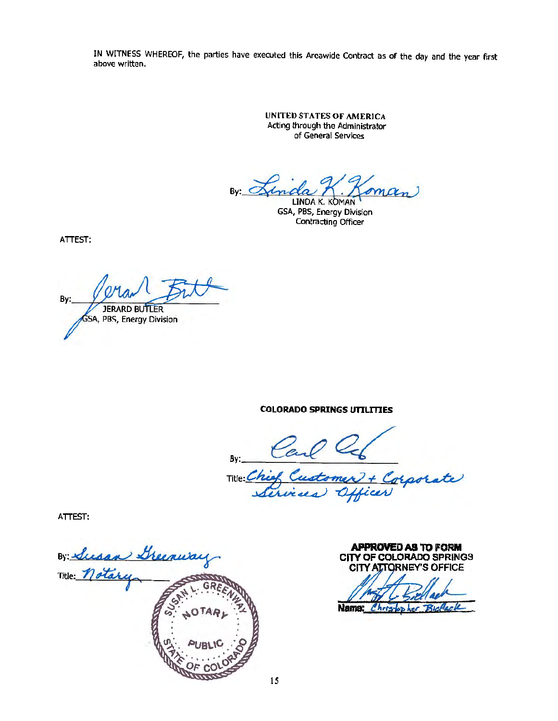IN WITNESS WHEREOF, the parties have executed this Areawide Contract as of the day and the year first above written.

> UNITED STATES OF AMERICA Acting through the Administrator of General Services

By: Sinda M. Joman

GSA, PBS, Energy Division Contracting Officer

ATTEST:

Bv: **JERARD BUTLER** GSA, PBS, Energy Division

**COLORADO SPRINGS UTIUTIES** 

By: Carl Comer<br>Title: Chief Customer

Corporate

ATTEST:

By Susan Greenway

**APPROVED AS TO FORM cnv OF COLORADO** SPRINGS CITY ATTORNEY'S OFFICE

Name:  $Christo$  $R$   $\sim$   $R$ 

15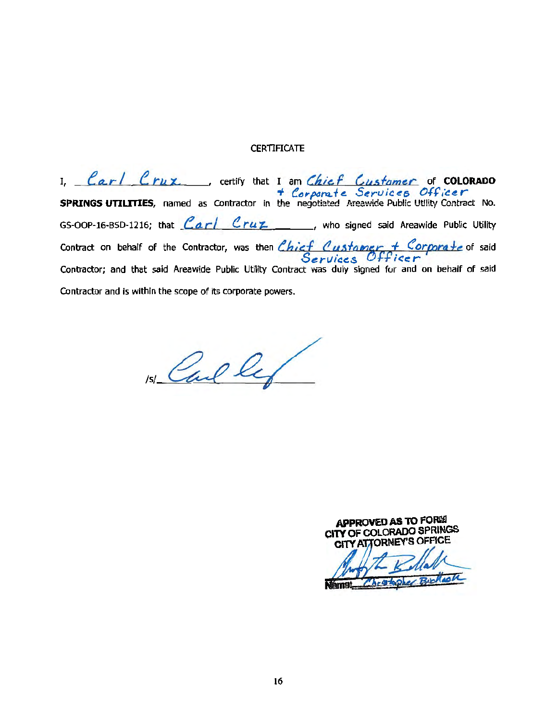#### **CERTIFICATE**

I. <u>Carl Cruz.</u> certify that I am *Chief Customer* of COLORADO **SPRINGS UTILITTES,** named as Contractor in the negotiated Areawide-Public Utility Contract No. GS-OOP-16-BSD-1216; that *Carl Cruz* \_\_\_, who signed said Areawide Public Utility Contract on behalf of the Contractor, was then *Chief Custangr, + Corporate* of said Services Officer' Contractor; and that said Areawide Public Utility Contract was duly signed for and on behalf of said Contractor and is within the scope of its corporate powers.

 $Re\ell$ 

APPROVED AS TO FORM CITY OF COLORADO SPRINGS  $\mathcal{L}$ ~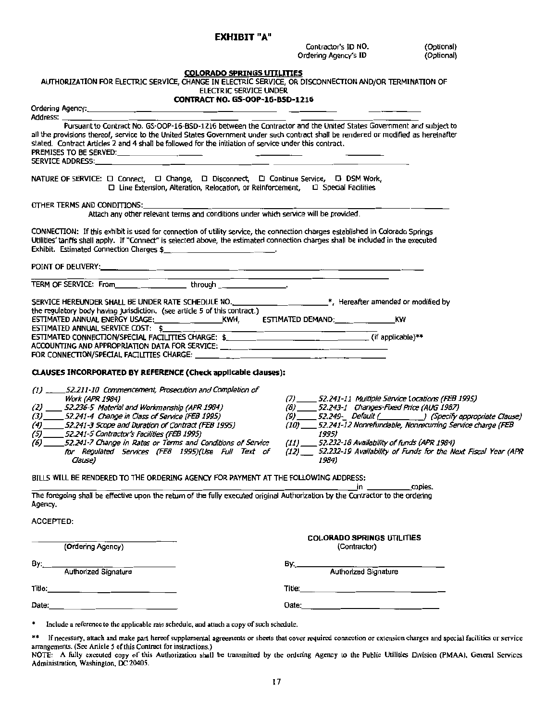#### EXHIBIT "A"

Contractor's ID NO. (Optional)<br>rdering Agency's ID (Optional) Ordering Agency's ID

|                                                                                                                                                                                                                                                                                                                                                                      | <b>COLORADO SPRINGS UTILITIES</b>                                                                                      |
|----------------------------------------------------------------------------------------------------------------------------------------------------------------------------------------------------------------------------------------------------------------------------------------------------------------------------------------------------------------------|------------------------------------------------------------------------------------------------------------------------|
| AUTHORIZATION FOR ELECTRIC SERVICE, CHANGE IN ELECTRIC SERVICE, OR DISCONNECTION AND/OR TERMINATION OF<br>ELECTRIC SERVICE UNDER                                                                                                                                                                                                                                     |                                                                                                                        |
| CONTRACT NO. GS-OOP-16-BSD-1216                                                                                                                                                                                                                                                                                                                                      |                                                                                                                        |
| Ordering Agency:                                                                                                                                                                                                                                                                                                                                                     |                                                                                                                        |
| Address: ___                                                                                                                                                                                                                                                                                                                                                         |                                                                                                                        |
| Pursuant to Contract No. GS-OOP-16-BSD-1216 between the Contractor and the United States Government and subject to<br>all the provisions thereof, service to the United States Government under such contract shall be rendered or modified as hereinafter<br>stated. Contract Articles 2 and 4 shall be followed for the initiation of service under this contract. |                                                                                                                        |
|                                                                                                                                                                                                                                                                                                                                                                      |                                                                                                                        |
| NATURE OF SERVICE: 0 Connect, 0 Change, 0 Disconnect, 0 Continue Service, 0 DSM Work,<br>□ Line Extension, Alteration, Relocation, or Reinforcement, □ Special Facilities                                                                                                                                                                                            |                                                                                                                        |
| OTHER TERMS AND CONDITIONS:                                                                                                                                                                                                                                                                                                                                          |                                                                                                                        |
| Attach any other relevant terms and conditions under which service will be provided.                                                                                                                                                                                                                                                                                 |                                                                                                                        |
| CONNECTION: If this exhibit is used for connection of utility service, the connection charges established in Colorado Springs<br>Utilities' tanffs shall apply. If "Connect" is selected above, the estimated connection charges shall be included in the executed<br>Exhibit. Estimated Connection Charges \$                                                       |                                                                                                                        |
|                                                                                                                                                                                                                                                                                                                                                                      |                                                                                                                        |
|                                                                                                                                                                                                                                                                                                                                                                      | the contract of the contract of the contract of the contract of the contract of the contract of the                    |
| SERVICE HEREUNDER SHALL BE UNDER RATE SCHEDULE NO. ____________________*, Hereafter amended or modified by                                                                                                                                                                                                                                                           |                                                                                                                        |
| the regulatory body having jurisdiction. (see article 5 of this contract.)                                                                                                                                                                                                                                                                                           |                                                                                                                        |
|                                                                                                                                                                                                                                                                                                                                                                      | KW                                                                                                                     |
| ESTIMATED ANNUAL SERVICE COST: \$                                                                                                                                                                                                                                                                                                                                    |                                                                                                                        |
|                                                                                                                                                                                                                                                                                                                                                                      |                                                                                                                        |
| ACCOUNTING AND APPROPRIATION DATA FOR SERVICE: __________________________________                                                                                                                                                                                                                                                                                    |                                                                                                                        |
|                                                                                                                                                                                                                                                                                                                                                                      |                                                                                                                        |
| CLAUSES INCORPORATED BY REFERENCE (Check applicable clauses):                                                                                                                                                                                                                                                                                                        |                                                                                                                        |
| (1) __ ___ 52.211-10 Commencement, Prosecution and Completion of                                                                                                                                                                                                                                                                                                     |                                                                                                                        |
| Work (APR 1984)                                                                                                                                                                                                                                                                                                                                                      | (7) ______ 52.241-11 Multiple Service Locations (FEB 1995)                                                             |
| (2) 52.236-5 Material and Workmanship (APR 1984)                                                                                                                                                                                                                                                                                                                     | (8) 52.243-1 Changes-Fixed Price (AUG 1987)                                                                            |
| (3) ______ 52.241-4 Change in Class of Service (FEB 1995)                                                                                                                                                                                                                                                                                                            |                                                                                                                        |
| (4) 52.241-3 Scope and Duration of Contract (FEB 1995)                                                                                                                                                                                                                                                                                                               |                                                                                                                        |
|                                                                                                                                                                                                                                                                                                                                                                      |                                                                                                                        |
|                                                                                                                                                                                                                                                                                                                                                                      | (10) ____ 52.241-12 Nonrefundable, Nonrecurring Service charge (FEB                                                    |
|                                                                                                                                                                                                                                                                                                                                                                      | 1995)                                                                                                                  |
| (5) 52.241-5 Contractor's Facilities (FEB 1995)<br>(6) 52.241-7 Change in Rates or Terms and Conditions of Service<br>for Regulated Services (FE8 1995)(Use Full Text of<br>Clause)                                                                                                                                                                                  | (11) 52.232-18 Availability of funds (APR 1984)<br>1984)                                                               |
| BILLS WILL BE RENDERED TO THE ORDERING AGENCY FOR PAYMENT AT THE FOLLOWING ADDRESS:                                                                                                                                                                                                                                                                                  |                                                                                                                        |
| The foregoing shall be effective upon the return of the fully executed original Authorization by the Contractor to the ordering<br>Agency.                                                                                                                                                                                                                           | copies.                                                                                                                |
| <b>ACCEPTED:</b>                                                                                                                                                                                                                                                                                                                                                     |                                                                                                                        |
|                                                                                                                                                                                                                                                                                                                                                                      |                                                                                                                        |
| (Ordering Agency)                                                                                                                                                                                                                                                                                                                                                    | <b>COLORADO SPRINGS UTILITIES</b><br>(Contractor)                                                                      |
|                                                                                                                                                                                                                                                                                                                                                                      |                                                                                                                        |
| Authorized Signature<br>By:____                                                                                                                                                                                                                                                                                                                                      | By: Authorized Signature                                                                                               |
|                                                                                                                                                                                                                                                                                                                                                                      | (9) 52.249- Default (Specify appropriate Clause)<br>(12) 52.232-19 Availability of Funds for the Next Fiscal Year (APR |
|                                                                                                                                                                                                                                                                                                                                                                      |                                                                                                                        |

\*\* If necessary, attach and make part hereof supplemental agreements or sheets that cover required connection or extension charges and special facilities or service

arrangements. (See Article 5 of this Contract for instructions.)<br>NOTE: A fully executed copy of this Authorization shall be transmitted by the ordering Agency to the Public Utilities Division (PMAA), General Services<br>Admin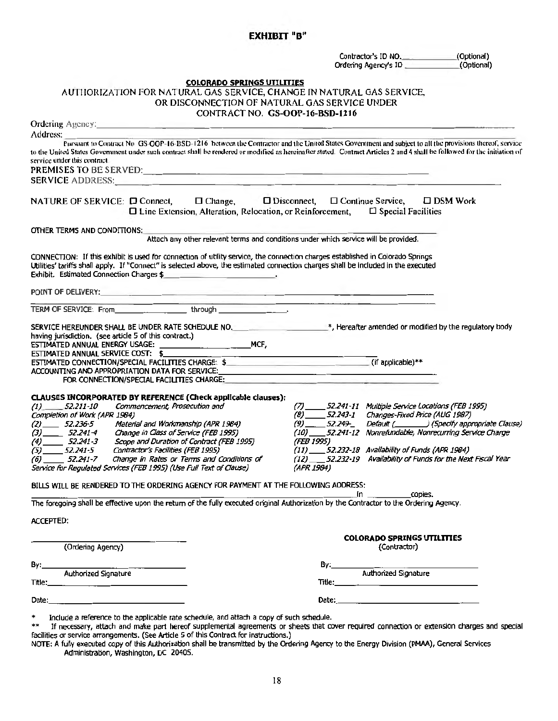### EXHIBIT "B"

|                                                                                                                                                                                                                                                                                                                                                                     | Contractor's ID NO. (Optional)<br>Ordening Agency's ID (Optional)                                                                                                                                                              |                                      |
|---------------------------------------------------------------------------------------------------------------------------------------------------------------------------------------------------------------------------------------------------------------------------------------------------------------------------------------------------------------------|--------------------------------------------------------------------------------------------------------------------------------------------------------------------------------------------------------------------------------|--------------------------------------|
|                                                                                                                                                                                                                                                                                                                                                                     |                                                                                                                                                                                                                                |                                      |
| <b>COLORADO SPRINGS UTILITIES</b><br>AUTHORIZATION FOR NATURAL GAS SERVICE, CHANGE IN NATURAL GAS SERVICE,                                                                                                                                                                                                                                                          |                                                                                                                                                                                                                                |                                      |
| OR DISCONNECTION OF NATURAL GAS SERVICE UNDER                                                                                                                                                                                                                                                                                                                       |                                                                                                                                                                                                                                |                                      |
| CONTRACT NO. GS-OOP-16-BSD-1216                                                                                                                                                                                                                                                                                                                                     |                                                                                                                                                                                                                                |                                      |
| Ordering Agency:                                                                                                                                                                                                                                                                                                                                                    |                                                                                                                                                                                                                                |                                      |
| Address:<br>Pursuant to Contract No. GS-OOP-16-BSD-1216 between the Contractor and the United States Government and subject to all the provisions thereof, service                                                                                                                                                                                                  |                                                                                                                                                                                                                                |                                      |
| to the United States Government under such contract shall be rendered or modified as hereinafter stated. Contract Articles 2 and 4 shall be followed for the initiation of<br>service under this contract.                                                                                                                                                          |                                                                                                                                                                                                                                |                                      |
| PREMISES TO BE SERVED: The contract of the contract of the contract of the contract of the contract of the contract of the contract of the contract of the contract of the contract of the contract of the contract of the con                                                                                                                                      |                                                                                                                                                                                                                                |                                      |
| SERVICE ADDRESS: A PARTICULAR CONTROL CONTROL CONTROL CONTROL CONTROL CONTROL CONTROL CONTROL CONTROL CONTROL CONTROL CONTROL CONTROL CONTROL CONTROL CONTROL CONTROL CONTROL CONTROL CONTROL CONTROL CONTROL CONTROL CONTROL                                                                                                                                       |                                                                                                                                                                                                                                |                                      |
| $\Box$ Change, $\Box$ Disconnect, $\Box$ Continue Service,<br>NATURE OF SERVICE: □ Connect,<br>$\Box$ Line Extension, Alteration, Relocation, or Reinforcement, $\Box$ Special Facilities                                                                                                                                                                           |                                                                                                                                                                                                                                | $\square$ DSM Work                   |
| OTHER TERMS AND CONDITIONS:                                                                                                                                                                                                                                                                                                                                         |                                                                                                                                                                                                                                |                                      |
| Attach any other relevant terms and conditions under which service will be provided.                                                                                                                                                                                                                                                                                |                                                                                                                                                                                                                                |                                      |
|                                                                                                                                                                                                                                                                                                                                                                     |                                                                                                                                                                                                                                |                                      |
| CONNECTION: If this exhibit is used for connection of utility service, the connection charges established in Colorado Springs<br>Utilities' tariffs shall apply. If "Connect" is selected above, the estimated connection charges shall be included in the executed<br>Exhibit. Estimated Connection Charges \$<br>the company will be a straight to the company of |                                                                                                                                                                                                                                |                                      |
| POINT OF DELIVERY: And the contract of the contract of the contract of the contract of the contract of the contract of the contract of the contract of the contract of the contract of the contract of the contract of the con                                                                                                                                      |                                                                                                                                                                                                                                |                                      |
| the company of the company of the company of the company of the company of the company of the company of the company of the company of the company of the company of the company of the company of the company of the company<br>TERM OF SERVICE: From through through                                                                                              |                                                                                                                                                                                                                                |                                      |
|                                                                                                                                                                                                                                                                                                                                                                     |                                                                                                                                                                                                                                |                                      |
| having jurisdiction. (see article 5 of this contract.)                                                                                                                                                                                                                                                                                                              |                                                                                                                                                                                                                                |                                      |
| ESTIMATED ANNUAL SERVICE COST: \$                                                                                                                                                                                                                                                                                                                                   |                                                                                                                                                                                                                                |                                      |
| ESTIMATED ANNUAL SERVICE COST: \$<br>ESTIMATED CONNECTION/SPECIAL FACILITIES CHARGE: \$                                                                                                                                                                                                                                                                             |                                                                                                                                                                                                                                |                                      |
| ACCOUNTING AND APPROPRIATION DATA FOR SERVICE: The annual procession of the contract of the contract of the contract of the contract of the contract of the contract of the contract of the contract of the contract of the co                                                                                                                                      |                                                                                                                                                                                                                                |                                      |
| FOR CONNECTION/SPECIAL FACILITIES CHARGE:                                                                                                                                                                                                                                                                                                                           |                                                                                                                                                                                                                                |                                      |
| CLAUSES INCORPORATED BY REFERENCE (Check applicable clauses):                                                                                                                                                                                                                                                                                                       |                                                                                                                                                                                                                                |                                      |
| Commencement, Prosecution and<br>(1)<br>52.211-10                                                                                                                                                                                                                                                                                                                   | (7)<br>52.241-11 Multiple Service Locations (FEB 1995)                                                                                                                                                                         |                                      |
| Completion of Work (APR 1984)<br>$(2)$ 52.236-5<br>Material and Workmanship (APR 1984)                                                                                                                                                                                                                                                                              | (8) 52.243-1 Changes-Fixed Price (AUG 1987)<br><i>52.249</i> _<br>(9)                                                                                                                                                          | Default (Specify appropriate Clause) |
| $(3)$ 52.241-4<br>Change in Class of Service (FEB 1995)                                                                                                                                                                                                                                                                                                             | (10) 52.241-12 Nonrefundable, Nonrecurring Service Charge                                                                                                                                                                      |                                      |
| $(4)$ 52.241-3<br>Scope and Duration of Contract (FEB 1995)                                                                                                                                                                                                                                                                                                         | (FEB 1995)                                                                                                                                                                                                                     |                                      |
| Contractor's Facilities (FEB 1995)<br>$-52.241 - 5$<br>(11)<br>(5)                                                                                                                                                                                                                                                                                                  | 52.232-18 Availability of Funds (APR 1984)                                                                                                                                                                                     |                                      |
| (6) _______ 52.241-7 Change in Rates or Terms and Conditions of<br>Service for Regulated Services (FEB 1995) (Use Full Text of Clause)                                                                                                                                                                                                                              | (12) 52.232-19 Availability of Funds for the Next Fiscal Year<br>(APR 1984)                                                                                                                                                    |                                      |
| BILLS WILL BE RENDERED TO THE ORDERING AGENCY FOR PAYMENT AT THE FOLLOWING ADDRESS:                                                                                                                                                                                                                                                                                 |                                                                                                                                                                                                                                |                                      |
| The foregoing shall be effective upon the return of the fully executed original Authorization by the Contractor to the Ordering Agency.                                                                                                                                                                                                                             | copies.<br><u> 1990 - Johann Barbara, politik eta provincia eta provincia eta provincia eta provincia eta provincia eta pro</u><br>in                                                                                          |                                      |
|                                                                                                                                                                                                                                                                                                                                                                     |                                                                                                                                                                                                                                |                                      |
| <b>ACCEPTED:</b>                                                                                                                                                                                                                                                                                                                                                    |                                                                                                                                                                                                                                |                                      |
|                                                                                                                                                                                                                                                                                                                                                                     | <b>COLORADO SPRINGS UTILITIES</b>                                                                                                                                                                                              |                                      |
| (Ordering Agency)                                                                                                                                                                                                                                                                                                                                                   | (Contractor)                                                                                                                                                                                                                   |                                      |
|                                                                                                                                                                                                                                                                                                                                                                     | By:                                                                                                                                                                                                                            |                                      |
| Authorized Signature<br>By:                                                                                                                                                                                                                                                                                                                                         | Authorized Signature                                                                                                                                                                                                           |                                      |
|                                                                                                                                                                                                                                                                                                                                                                     |                                                                                                                                                                                                                                |                                      |
|                                                                                                                                                                                                                                                                                                                                                                     |                                                                                                                                                                                                                                |                                      |
|                                                                                                                                                                                                                                                                                                                                                                     | Date: the contract of the contract of the contract of the contract of the contract of the contract of the contract of the contract of the contract of the contract of the contract of the contract of the contract of the cont |                                      |

facilities or service arrangements. (See Article S of this Contract for instructions.)<br>NOTE: A fully executed copy of this Authorization shall be transmitted by the Ordering Agency to the Energy Division (PMAA), General Se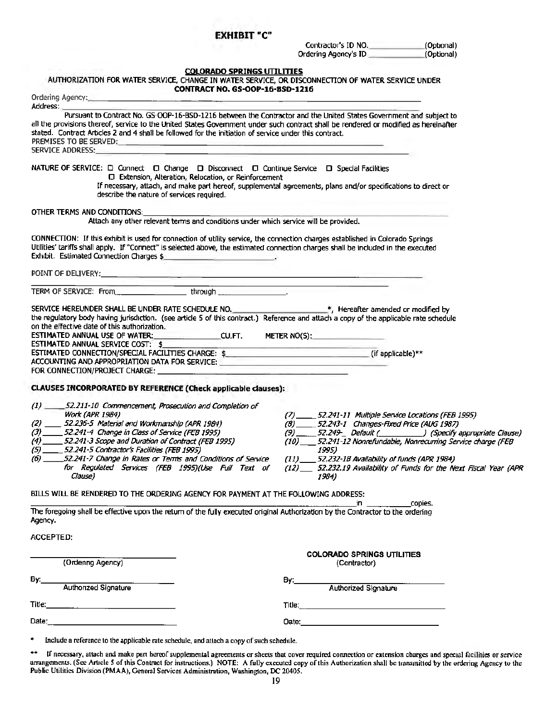### EXHIBIT "C"

Contractor's ID NO. (Optional)<br>rdering Agency's ID (Optional) Ordering Agency's ID

# COLORADO SPRINGS UTILITIES<br>AUTHORIZATION FOR WATER SERVICE, CHANGE IN WATER SERVICE, OR DISCONNECTION OF WATER SERVICE UNDER

| <b>CONTRACT NO. GS-OOP-16-BSD-1216</b>                                                                                                                                                                                                                                                                                                                                                         |                                                                                                                                                                                                                                     |
|------------------------------------------------------------------------------------------------------------------------------------------------------------------------------------------------------------------------------------------------------------------------------------------------------------------------------------------------------------------------------------------------|-------------------------------------------------------------------------------------------------------------------------------------------------------------------------------------------------------------------------------------|
|                                                                                                                                                                                                                                                                                                                                                                                                |                                                                                                                                                                                                                                     |
| Address:                                                                                                                                                                                                                                                                                                                                                                                       |                                                                                                                                                                                                                                     |
| Pursuant to Contract No. GS-OOP-16-BSD-1216 between the Contractor and the United States Government and subject to<br>all the provisions thereof, service to the United States Government under such contract shall be rendered or modified as hereinafter<br>stated. Contract Articles 2 and 4 shall be followed for the initiation of service under this contract.<br>PREMISES TO BE SERVED: |                                                                                                                                                                                                                                     |
| <b>SERVICE ADDRESS:</b>                                                                                                                                                                                                                                                                                                                                                                        |                                                                                                                                                                                                                                     |
|                                                                                                                                                                                                                                                                                                                                                                                                |                                                                                                                                                                                                                                     |
| NATURE OF SERVICE: □ Connect □ Change □ Disconnect □ Continue Service □ Special Facilities<br>C Extension, Alteration, Relocation, or Reinforcement<br>If necessary, attach, and make part hereof, supplemental agreements, plans and/or specifications to direct or                                                                                                                           |                                                                                                                                                                                                                                     |
| describe the nature of services required.                                                                                                                                                                                                                                                                                                                                                      |                                                                                                                                                                                                                                     |
| OTHER TERMS AND CONDITIONS:                                                                                                                                                                                                                                                                                                                                                                    |                                                                                                                                                                                                                                     |
| Attach any other relevant terms and conditions under which service will be provided.                                                                                                                                                                                                                                                                                                           |                                                                                                                                                                                                                                     |
| CONNECTION: If this exhibit is used for connection of utility service, the connection charges established in Colorado Springs<br>Utilities' tariffs shall apply. If "Connect" is selected above, the estimated connection charges shall be included in the executed                                                                                                                            |                                                                                                                                                                                                                                     |
|                                                                                                                                                                                                                                                                                                                                                                                                |                                                                                                                                                                                                                                     |
| TERM OF SERVICE: From through through the service of the service of the service of the service of the service of the service of the service of the service of the service of the service of the service of the service of the                                                                                                                                                                  | the contract of the contract of the contract of the contract of the contract of                                                                                                                                                     |
| SERVICE HEREUNDER SHALL BE UNDER RATE SCHEDULE NO. ______________________________*, Hereafter amended or modified by                                                                                                                                                                                                                                                                           |                                                                                                                                                                                                                                     |
| the regulatory body having jurisdiction. (see article 5 of this contract.) Reference and attach a copy of the applicable rate schedule<br>on the effective date of this authorization.                                                                                                                                                                                                         |                                                                                                                                                                                                                                     |
| ESTIMATED ANNUAL USE OF WATER:_________________________CU.FT. METER NO(\$):__________________________                                                                                                                                                                                                                                                                                          |                                                                                                                                                                                                                                     |
| ESTIMATED ANNUAL SERVICE COST: \$<br>ESTIMATED CONNECTION/SPECIAL FACILITIES CHARGE: \$ (if applicable) **                                                                                                                                                                                                                                                                                     |                                                                                                                                                                                                                                     |
| ACCOUNTING AND APPROPRIATION DATA FOR SERVICE: <b>ACCOUNTING AND APPROPRIATION DATA FOR SERVICE:</b>                                                                                                                                                                                                                                                                                           |                                                                                                                                                                                                                                     |
|                                                                                                                                                                                                                                                                                                                                                                                                |                                                                                                                                                                                                                                     |
|                                                                                                                                                                                                                                                                                                                                                                                                |                                                                                                                                                                                                                                     |
| CLAUSES INCORPORATED BY REFERENCE (Check applicable clauses):                                                                                                                                                                                                                                                                                                                                  |                                                                                                                                                                                                                                     |
| (1) 52.211-10 Commencement, Prosecution and Completion of                                                                                                                                                                                                                                                                                                                                      |                                                                                                                                                                                                                                     |
| Work (APR 1984)                                                                                                                                                                                                                                                                                                                                                                                | (7) ______ 52.241-11 Multiple Service Locations (FEB 1995)                                                                                                                                                                          |
| $(2)$ _____ 52.236-5 Material and Workmanship (APR 1984)                                                                                                                                                                                                                                                                                                                                       | (8) ______ 52.243-1 Changes-Fixed Price (AUG 1987)                                                                                                                                                                                  |
| (3) 52.241-4 Change in Class of Service (FEB 1995)                                                                                                                                                                                                                                                                                                                                             | (9) _____ 52.249- Default (_________________) (Specify appropriate Clause)                                                                                                                                                          |
| (4) 52.241-3 Scope and Duration of Contract (FEB 1995)                                                                                                                                                                                                                                                                                                                                         | (10) __ 52.241-12 Nonrefundable, Nonrecurring Service charge (FEB                                                                                                                                                                   |
| (5) ______ 52.241-5 Contractor's Facilities (FEB 1995)                                                                                                                                                                                                                                                                                                                                         | 1995)                                                                                                                                                                                                                               |
| (6) _____52.241-7 Change in Rates or Terms and Conditions of Service                                                                                                                                                                                                                                                                                                                           | (11) 52.232-1B Availability of funds (APR 1984)                                                                                                                                                                                     |
| for Regulated Services (FEB 1995)(Use Full Text of<br>Clause)                                                                                                                                                                                                                                                                                                                                  | (12) __ 52.232.19 Availability of Funds for the Next Fiscal Year (APR<br>1984)                                                                                                                                                      |
| BILLS WILL BE RENDERED TO THE ORDERING AGENCY FOR PAYMENT AT THE FOLLOWING ADDRESS:                                                                                                                                                                                                                                                                                                            |                                                                                                                                                                                                                                     |
| The foregoing shall be effective upon the return of the fully executed original Authorization by the Contractor to the ordering<br>Agency.                                                                                                                                                                                                                                                     | copies.                                                                                                                                                                                                                             |
|                                                                                                                                                                                                                                                                                                                                                                                                |                                                                                                                                                                                                                                     |
| <b>ACCEPTED:</b>                                                                                                                                                                                                                                                                                                                                                                               |                                                                                                                                                                                                                                     |
|                                                                                                                                                                                                                                                                                                                                                                                                | <b>COLORADO SPRINGS UTILITIES</b>                                                                                                                                                                                                   |
| (Ordenng Agency)                                                                                                                                                                                                                                                                                                                                                                               | (Contractor)                                                                                                                                                                                                                        |
| Authorized Signature<br>By:___                                                                                                                                                                                                                                                                                                                                                                 | By: Authorized Signature                                                                                                                                                                                                            |
|                                                                                                                                                                                                                                                                                                                                                                                                |                                                                                                                                                                                                                                     |
|                                                                                                                                                                                                                                                                                                                                                                                                | <b>Title:</b> The contract of the contract of the contract of the contract of the contract of the contract of the contract of the contract of the contract of the contract of the contract of the contract of the contract of the c |
|                                                                                                                                                                                                                                                                                                                                                                                                |                                                                                                                                                                                                                                     |
| *<br>Include a reference to the applicable rate schedule, and attach a copy of such schedule.                                                                                                                                                                                                                                                                                                  |                                                                                                                                                                                                                                     |

\* If necessary, attach and make part hereof supplemental agreements or sheets that cover required connection or extension charges and special facilities or service arrangements. (See Article 5 of this Contract for instructions.) NOTE: A fully executed copy of this Authorization shall be transmitted by the ordering Agency to the Public Utilities Division (PMAA), General Services Administration, Washington, DC 20405.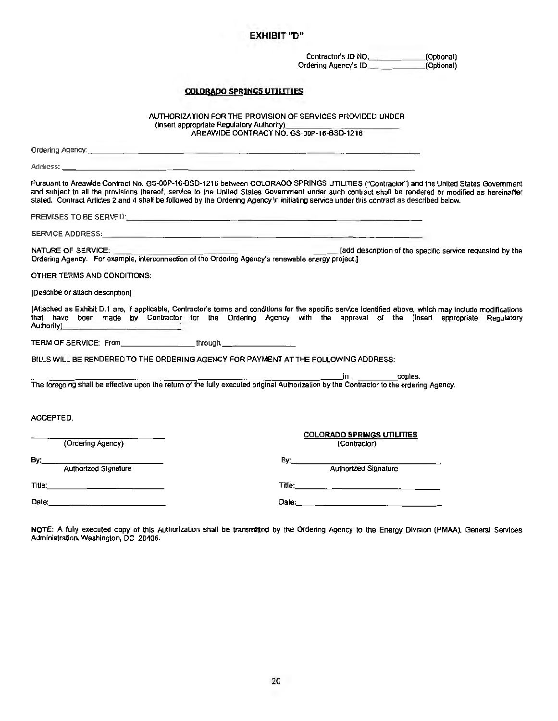#### EXHIBIT "D"

Contractor's ID NO.\_\_\_\_\_.(Optional) Ordering Agency's ID

#### COLORADO SPRINGS UTILITIES

AUTHORIZATION FOR THE PROVISION OF SERVICES PROVIDED UNDER (insert appropriate Regulatory Authority) \_\_\_\_\_\_\_\_\_\_\_ AREAWIDE CONTRACT NO. GS-OOP-16-BSD-1216

Ordering Agency: \_\_\_\_\_\_\_\_\_\_\_\_\_\_\_\_\_\_\_\_\_\_\_\_\_\_\_\_\_\_\_\_\_ Address: ------- Pursuant to Areawide Contract No. GS-00P-16-BSD-1216 between COLORAOO SPRINGS UTILITIES ("Contractor") and the United States Government and subject to all the provisions thereof, service lo the United Slates Government under such contract shall be rendered or modified as hereinafter stated. Contract Articles 2 and 4 shall be followed by the Ordering Agency in initiating service under this contract as described below. PREMISES TO BE SERVED: SERVICE ADDRESS: \_\_\_\_\_\_\_\_\_\_\_ \_\_\_\_\_\_\_\_\_\_\_\_\_\_\_\_\_~ NATURE OF SERVICE: **[add description of the specific service requested by the** Ordering Agency. For example, interconnection of the Ordering Agency's renewable energy project.] OTHER TERMS AND CONDITIONS: [Describe or attach description] [Attached as Exhibit D.1 are, if applicable, Contractor's terms and conditions for the specific service Identified above, which may include modifications that have been made by Contractor for the Ordering Agency with the approval of the (insert appropriate Regulatory Authority)\_\_\_\_\_\_\_\_\_\_\_\_\_. TERM OF SERVICE: From \_\_\_\_\_\_\_\_\_\_\_\_\_\_\_through \_\_\_ BILLS WILL BE RENDERED TO THE ORDERING AGENCY FOR PAYMENT AT THE FOLLOWING ADDRESS: \_\_\_\_\_\_\_\_\_\_\_ \_ \_ \_\_\_\_\_\_\_\_\_\_\_\_\_\_\_\_\_\_.In copies. The foregoing shall be effective upon the return of the fully executed original Authorization by the Contractor to the ordering Agency. ACCEPTED: COLORADO SPRINGS UTILITIES (Ordering Agency) By:\_ \_\_\_\_\_\_\_\_\_\_ By:·-------------~ Authorized Signature Authorized Signature Authorized Signature<br>
Title: Title: Title: Title: Title: Title: Title: Title: Title: Title: Title: Title: Title: Title: Title: Title: Title: Title: Title: Title: Title: Title: Title: Title: Title: Title: Title: Title: Titl Date:\_\_\_\_\_\_\_\_\_\_\_\_ Date: \_\_\_\_\_\_\_\_\_\_\_\_\_\_\_

NOTE: A fully executed copy of this Authorization shall be transmitted by the Ordering Agency to the Energy Division (PMAA), General Services Administration. Washington, DC 20405.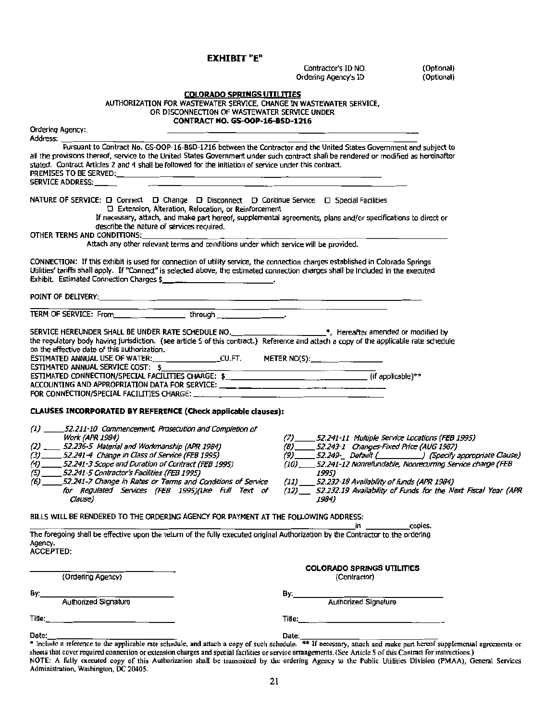EXHIBIT "E"

Contractor's ID NO. (Optional)<br>
dering Agency's ID (Optional) Ordering Agency's ID

| <b>COLORADO SPRINGS UTILITIES</b><br>AUTHORIZATION FOR WASTEWATER SERVICE, CHANGE IN WASTEWATER SERVICE,<br>OR DISCONNECTION OF WASTEWATER SERVICE UNDER<br><b>CONTRACT NO. GS-OOP-16-BSD-1216</b>                                                                                                                                                                                                                                                     |                                                                                                                                                                                                                                                                                                                                                                                                    |
|--------------------------------------------------------------------------------------------------------------------------------------------------------------------------------------------------------------------------------------------------------------------------------------------------------------------------------------------------------------------------------------------------------------------------------------------------------|----------------------------------------------------------------------------------------------------------------------------------------------------------------------------------------------------------------------------------------------------------------------------------------------------------------------------------------------------------------------------------------------------|
| Ordering Agency:                                                                                                                                                                                                                                                                                                                                                                                                                                       |                                                                                                                                                                                                                                                                                                                                                                                                    |
| Address: _______<br>Pursuant to Contract No. GS-OOP-16-BSD-1216 between the Contractor and the United States Government and subject to<br>all the provisions thereof, service to the United States Government under such contract shall be rendered or modified as hereinafter<br>stated. Contract Articles 2 and 4 shall be followed for the initiation of service under this contract.<br>PREMISES TO BE SERVED:<br>SERVICE ADDRESS:_____            |                                                                                                                                                                                                                                                                                                                                                                                                    |
| NATURE OF SERVICE: □ Connect □ Change □ Disconnect □ Continue Service □ Special Facilities<br>D Extension, Alteration, Relocation, or Reinforcement<br>If necessary, attach, and make part hereof, supplemental agreements, plans and/or specifications to direct or                                                                                                                                                                                   |                                                                                                                                                                                                                                                                                                                                                                                                    |
| describe the nature of services required.<br>OTHER TERMS AND CONDITIONS:                                                                                                                                                                                                                                                                                                                                                                               |                                                                                                                                                                                                                                                                                                                                                                                                    |
| Attach any other relevant terms and conditions under which service will be provided.                                                                                                                                                                                                                                                                                                                                                                   |                                                                                                                                                                                                                                                                                                                                                                                                    |
| CONNECTION: If this exhibit is used for connection of utility service, the connection charges established in Colorado Springs<br>Utilities' tariffs shall apply. If "Connect" is selected above, the estimated connection charges shall be included in the executed<br>Exhibit. Estimated Connection Charges \$                                                                                                                                        |                                                                                                                                                                                                                                                                                                                                                                                                    |
|                                                                                                                                                                                                                                                                                                                                                                                                                                                        |                                                                                                                                                                                                                                                                                                                                                                                                    |
|                                                                                                                                                                                                                                                                                                                                                                                                                                                        |                                                                                                                                                                                                                                                                                                                                                                                                    |
| SERVICE HEREUNDER SHALL BE UNDER RATE SCHEDULE NO. _____________________________*, Hereafter amended or modified by<br>the regulatory body having jurisdiction. (see article S of this contract.) Reference and attach a copy of the applicable rate schedule<br>on the effective date of this authorization.<br>ESTIMATED ANNUAL USE OF WATER:________________CU.FT. METER NO(S):_______________                                                      |                                                                                                                                                                                                                                                                                                                                                                                                    |
| ESTIMATED CONNECTION/SPECIAL FACILITIES CHARGE: \$ ______________________________(if applicable)**<br>ACCOUNTING AND APPROPRIATION DATA FOR SERVICE: ____ ___ ___ ____ ___ __ __ __ __ __                                                                                                                                                                                                                                                              |                                                                                                                                                                                                                                                                                                                                                                                                    |
|                                                                                                                                                                                                                                                                                                                                                                                                                                                        |                                                                                                                                                                                                                                                                                                                                                                                                    |
| CLAUSES INCORPORATED BY REFERENCE (Check applicable clauses):                                                                                                                                                                                                                                                                                                                                                                                          |                                                                                                                                                                                                                                                                                                                                                                                                    |
| (1) _____52.211-10 Commencement, Prosecution and Completion of<br>Work (APR 1984)<br>(2) ____ 52.236-5 Material and Workmanship (APR 1984)<br>(3) 52.241-4 Change in Class of Service (FEB 1995)<br>(4) 52.241-3 Scope and Duration of Contract (FEB 1995)<br>(5) 52.241-5 Contractor's Facilities (FEB 1995)<br>(6) _____52.241-7 Change in Rates or Terms and Conditions of Service<br>for Regulated Services (FEB 1995)(Use Full Text of<br>Clause) | (7) ______ 52.241-11 Multiple Service Locations (FEB 1995)<br>(8) 52.243-1 Changes-Fixed Price (AUG 1987)<br>(9) ______ 52.249-_ Default (_____________) (Specify appropriate Clause)<br>(10) 52.241-12 Nonrefundable, Nonrecurring Service charge (FEB<br>1995)<br>(11) 52.232-18 Availability of funds (APR 1984)<br>(12) S2.232.19 Availability of Funds for the Next Fiscal Year (APR<br>1984) |
| BILLS WILL BE RENDERED TO THE ORDERING AGENCY FOR PAYMENT AT THE FOLLOWING ADDRESS:                                                                                                                                                                                                                                                                                                                                                                    | copies.<br>in                                                                                                                                                                                                                                                                                                                                                                                      |
| The foregoing shall be effective upon the return of the fully executed original Authorization by the Contractor to the ordering<br>Agency.<br><b>ACCEPTED:</b>                                                                                                                                                                                                                                                                                         |                                                                                                                                                                                                                                                                                                                                                                                                    |
| (Ordering Agency)                                                                                                                                                                                                                                                                                                                                                                                                                                      | <b>COLORADO SPRINGS UTILITIES</b><br>(Contractor)                                                                                                                                                                                                                                                                                                                                                  |
| By:                                                                                                                                                                                                                                                                                                                                                                                                                                                    | By:                                                                                                                                                                                                                                                                                                                                                                                                |
| Authorized Signature                                                                                                                                                                                                                                                                                                                                                                                                                                   | Authorized Signature                                                                                                                                                                                                                                                                                                                                                                               |
|                                                                                                                                                                                                                                                                                                                                                                                                                                                        |                                                                                                                                                                                                                                                                                                                                                                                                    |
| Date:                                                                                                                                                                                                                                                                                                                                                                                                                                                  | Date:                                                                                                                                                                                                                                                                                                                                                                                              |

<sup>\*</sup> lnclude a reference to the applicable rate schedule, and attach a copy of such schedule. \*\* If necessary, attach and make part hereof supplemental agreements or sheets that cover required connection or extension charges and special facilities or service arrangements. (See Article 5 of this Contract for instructions.) NOTE: A fully executed copy of this Authorization shall be transmitted by thc ordering Agency to thc Public Utilities Division (PMAA), General Serviccs Administration, Wnshinglon, DC 20405.